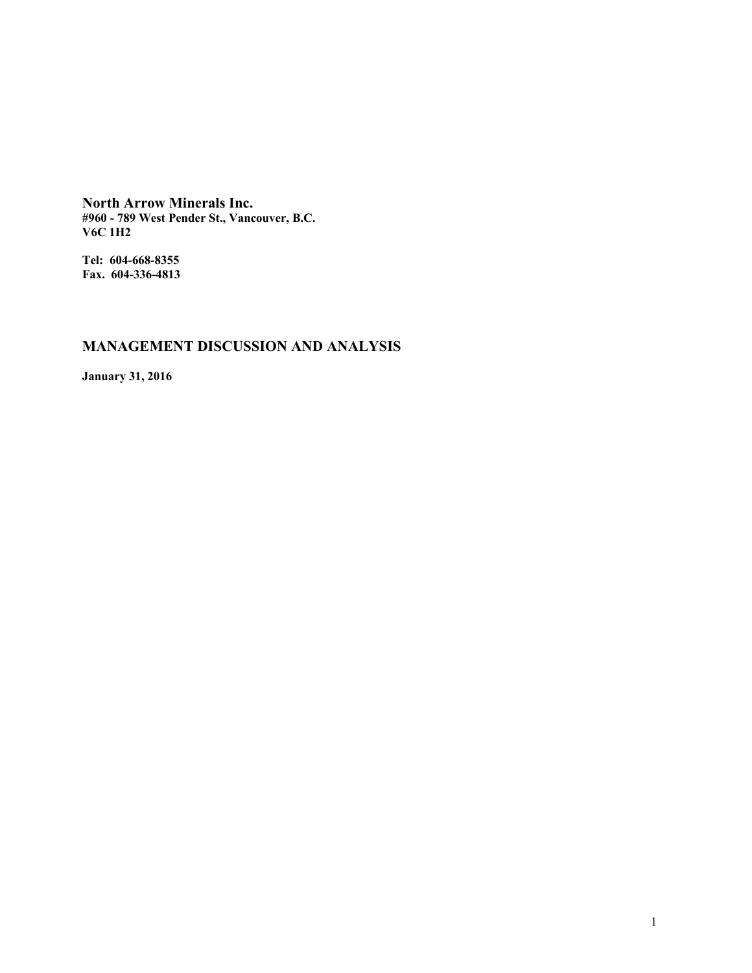**North Arrow Minerals Inc. #960 - 789 West Pender St., Vancouver, B.C. V6C 1H2**

**Tel: 604-668-8355 Fax. 604-336-4813**

# **MANAGEMENT DISCUSSION AND ANALYSIS**

**January 31, 2016**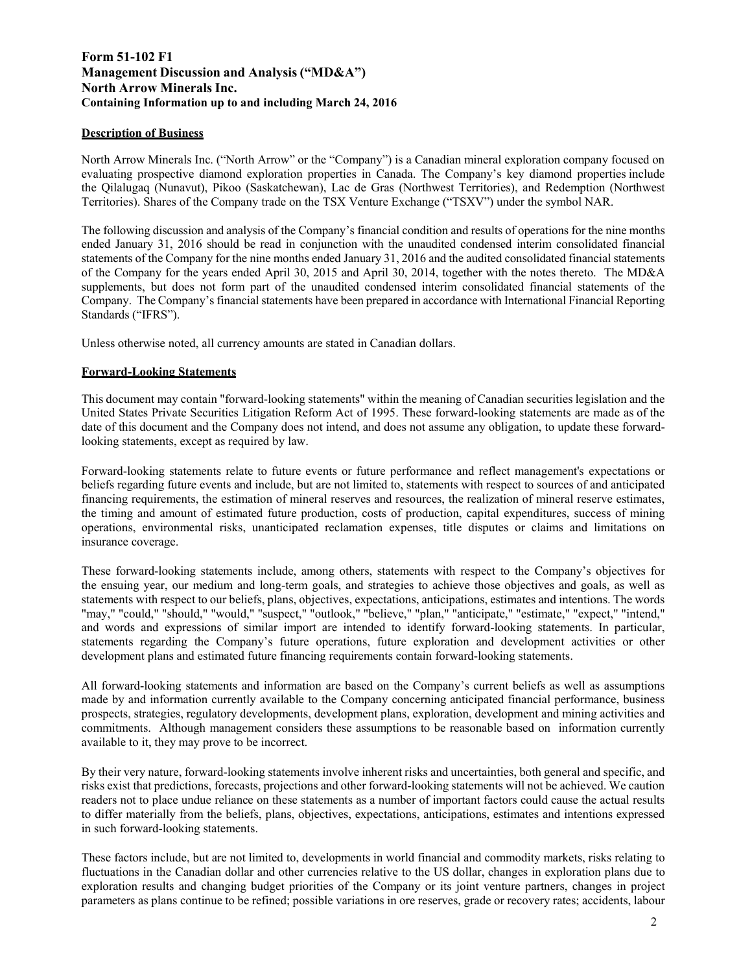# **Form 51-102 F1 Management Discussion and Analysis ("MD&A") North Arrow Minerals Inc. Containing Information up to and including March 24, 2016**

## **Description of Business**

North Arrow Minerals Inc. ("North Arrow" or the "Company") is a Canadian mineral exploration company focused on evaluating prospective diamond exploration properties in Canada. The Company's key diamond properties include the Qilalugaq (Nunavut), Pikoo (Saskatchewan), Lac de Gras (Northwest Territories), and Redemption (Northwest Territories). Shares of the Company trade on the TSX Venture Exchange ("TSXV") under the symbol NAR.

The following discussion and analysis of the Company's financial condition and results of operations for the nine months ended January 31, 2016 should be read in conjunction with the unaudited condensed interim consolidated financial statements of the Company for the nine months ended January 31, 2016 and the audited consolidated financial statements of the Company for the years ended April 30, 2015 and April 30, 2014, together with the notes thereto. The MD&A supplements, but does not form part of the unaudited condensed interim consolidated financial statements of the Company. The Company's financial statements have been prepared in accordance with International Financial Reporting Standards ("IFRS").

Unless otherwise noted, all currency amounts are stated in Canadian dollars.

#### **Forward-Looking Statements**

This document may contain "forward-looking statements" within the meaning of Canadian securities legislation and the United States Private Securities Litigation Reform Act of 1995. These forward-looking statements are made as of the date of this document and the Company does not intend, and does not assume any obligation, to update these forwardlooking statements, except as required by law.

Forward-looking statements relate to future events or future performance and reflect management's expectations or beliefs regarding future events and include, but are not limited to, statements with respect to sources of and anticipated financing requirements, the estimation of mineral reserves and resources, the realization of mineral reserve estimates, the timing and amount of estimated future production, costs of production, capital expenditures, success of mining operations, environmental risks, unanticipated reclamation expenses, title disputes or claims and limitations on insurance coverage.

These forward-looking statements include, among others, statements with respect to the Company's objectives for the ensuing year, our medium and long-term goals, and strategies to achieve those objectives and goals, as well as statements with respect to our beliefs, plans, objectives, expectations, anticipations, estimates and intentions. The words "may," "could," "should," "would," "suspect," "outlook," "believe," "plan," "anticipate," "estimate," "expect," "intend," and words and expressions of similar import are intended to identify forward-looking statements. In particular, statements regarding the Company's future operations, future exploration and development activities or other development plans and estimated future financing requirements contain forward-looking statements.

All forward-looking statements and information are based on the Company's current beliefs as well as assumptions made by and information currently available to the Company concerning anticipated financial performance, business prospects, strategies, regulatory developments, development plans, exploration, development and mining activities and commitments. Although management considers these assumptions to be reasonable based on information currently available to it, they may prove to be incorrect.

By their very nature, forward-looking statements involve inherent risks and uncertainties, both general and specific, and risks exist that predictions, forecasts, projections and other forward-looking statements will not be achieved. We caution readers not to place undue reliance on these statements as a number of important factors could cause the actual results to differ materially from the beliefs, plans, objectives, expectations, anticipations, estimates and intentions expressed in such forward-looking statements.

These factors include, but are not limited to, developments in world financial and commodity markets, risks relating to fluctuations in the Canadian dollar and other currencies relative to the US dollar, changes in exploration plans due to exploration results and changing budget priorities of the Company or its joint venture partners, changes in project parameters as plans continue to be refined; possible variations in ore reserves, grade or recovery rates; accidents, labour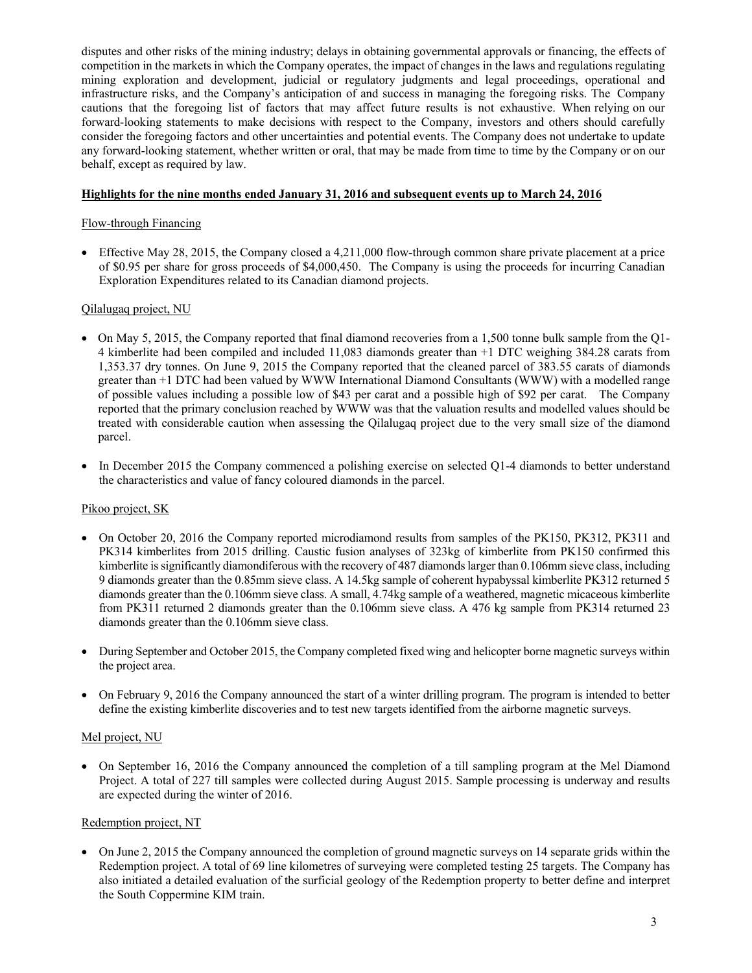disputes and other risks of the mining industry; delays in obtaining governmental approvals or financing, the effects of competition in the markets in which the Company operates, the impact of changes in the laws and regulations regulating mining exploration and development, judicial or regulatory judgments and legal proceedings, operational and infrastructure risks, and the Company's anticipation of and success in managing the foregoing risks. The Company cautions that the foregoing list of factors that may affect future results is not exhaustive. When relying on our forward-looking statements to make decisions with respect to the Company, investors and others should carefully consider the foregoing factors and other uncertainties and potential events. The Company does not undertake to update any forward-looking statement, whether written or oral, that may be made from time to time by the Company or on our behalf, except as required by law.

#### **Highlights for the nine months ended January 31, 2016 and subsequent events up to March 24, 2016**

## Flow-through Financing

 Effective May 28, 2015, the Company closed a 4,211,000 flow-through common share private placement at a price of \$0.95 per share for gross proceeds of \$4,000,450. The Company is using the proceeds for incurring Canadian Exploration Expenditures related to its Canadian diamond projects.

# Qilalugaq project, NU

- On May 5, 2015, the Company reported that final diamond recoveries from a 1,500 tonne bulk sample from the Q1- 4 kimberlite had been compiled and included 11,083 diamonds greater than +1 DTC weighing 384.28 carats from 1,353.37 dry tonnes. On June 9, 2015 the Company reported that the cleaned parcel of 383.55 carats of diamonds greater than +1 DTC had been valued by WWW International Diamond Consultants (WWW) with a modelled range of possible values including a possible low of \$43 per carat and a possible high of \$92 per carat. The Company reported that the primary conclusion reached by WWW was that the valuation results and modelled values should be treated with considerable caution when assessing the Qilalugaq project due to the very small size of the diamond parcel.
- In December 2015 the Company commenced a polishing exercise on selected Q1-4 diamonds to better understand the characteristics and value of fancy coloured diamonds in the parcel.

## Pikoo project, SK

- On October 20, 2016 the Company reported microdiamond results from samples of the PK150, PK312, PK311 and PK314 kimberlites from 2015 drilling. Caustic fusion analyses of 323kg of kimberlite from PK150 confirmed this kimberlite is significantly diamondiferous with the recovery of 487 diamonds larger than 0.106mm sieve class, including 9 diamonds greater than the 0.85mm sieve class. A 14.5kg sample of coherent hypabyssal kimberlite PK312 returned 5 diamonds greater than the 0.106mm sieve class. A small, 4.74kg sample of a weathered, magnetic micaceous kimberlite from PK311 returned 2 diamonds greater than the 0.106mm sieve class. A 476 kg sample from PK314 returned 23 diamonds greater than the 0.106mm sieve class.
- During September and October 2015, the Company completed fixed wing and helicopter borne magnetic surveys within the project area.
- On February 9, 2016 the Company announced the start of a winter drilling program. The program is intended to better define the existing kimberlite discoveries and to test new targets identified from the airborne magnetic surveys.

## Mel project, NU

 On September 16, 2016 the Company announced the completion of a till sampling program at the Mel Diamond Project. A total of 227 till samples were collected during August 2015. Sample processing is underway and results are expected during the winter of 2016.

## Redemption project, NT

 On June 2, 2015 the Company announced the completion of ground magnetic surveys on 14 separate grids within the Redemption project. A total of 69 line kilometres of surveying were completed testing 25 targets. The Company has also initiated a detailed evaluation of the surficial geology of the Redemption property to better define and interpret the South Coppermine KIM train.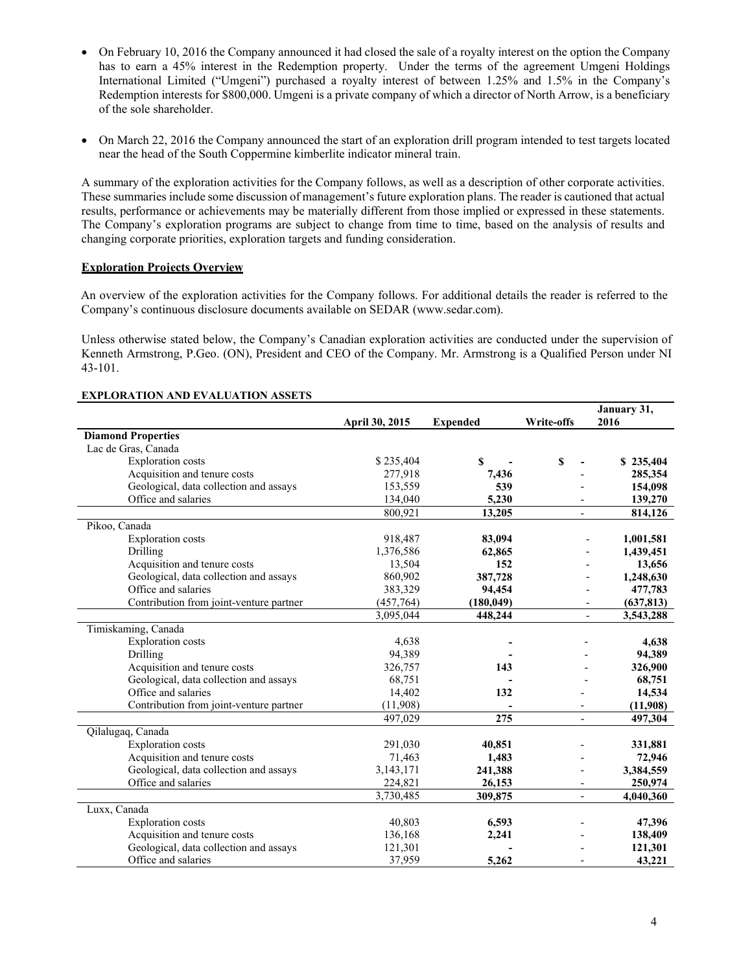- On February 10, 2016 the Company announced it had closed the sale of a royalty interest on the option the Company has to earn a 45% interest in the Redemption property. Under the terms of the agreement Umgeni Holdings International Limited ("Umgeni") purchased a royalty interest of between 1.25% and 1.5% in the Company's Redemption interests for \$800,000. Umgeni is a private company of which a director of North Arrow, is a beneficiary of the sole shareholder.
- On March 22, 2016 the Company announced the start of an exploration drill program intended to test targets located near the head of the South Coppermine kimberlite indicator mineral train.

A summary of the exploration activities for the Company follows, as well as a description of other corporate activities. These summaries include some discussion of management's future exploration plans. The reader is cautioned that actual results, performance or achievements may be materially different from those implied or expressed in these statements. The Company's exploration programs are subject to change from time to time, based on the analysis of results and changing corporate priorities, exploration targets and funding consideration.

#### **Exploration Projects Overview**

An overview of the exploration activities for the Company follows. For additional details the reader is referred to the Company's continuous disclosure documents available on SEDAR (www.sedar.com).

Unless otherwise stated below, the Company's Canadian exploration activities are conducted under the supervision of Kenneth Armstrong, P.Geo. (ON), President and CEO of the Company. Mr. Armstrong is a Qualified Person under NI 43-101.

|                                         |                       |                 |                          | January 31,                           |
|-----------------------------------------|-----------------------|-----------------|--------------------------|---------------------------------------|
|                                         | <b>April 30, 2015</b> | <b>Expended</b> | Write-offs               | 2016                                  |
| <b>Diamond Properties</b>               |                       |                 |                          |                                       |
| Lac de Gras, Canada                     |                       |                 |                          |                                       |
| <b>Exploration</b> costs                | \$235,404             | S               | \$                       | \$235,404                             |
| Acquisition and tenure costs            | 277,918               | 7,436           |                          | 285,354                               |
| Geological, data collection and assays  | 153,559               | 539             |                          | 154,098                               |
| Office and salaries                     | 134,040               | 5,230           |                          | 139,270                               |
|                                         | 800,921               | 13,205          |                          | 814,126                               |
| Pikoo, Canada                           |                       |                 |                          |                                       |
| <b>Exploration</b> costs                | 918,487               | 83,094          |                          | 1,001,581                             |
| Drilling                                | 1,376,586             | 62,865          |                          | 1,439,451                             |
| Acquisition and tenure costs            | 13,504                | 152             |                          | 13,656                                |
| Geological, data collection and assays  | 860,902               | 387,728         |                          | 1,248,630                             |
| Office and salaries                     | 383,329               | 94,454          |                          | 477,783                               |
| Contribution from joint-venture partner | (457,764)             | (180, 049)      |                          | (637, 813)                            |
|                                         | 3,095,044             | 448,244         |                          | 3,543,288<br>$\overline{\phantom{a}}$ |
| Timiskaming, Canada                     |                       |                 |                          |                                       |
| <b>Exploration</b> costs                | 4,638                 |                 |                          | 4,638                                 |
| Drilling                                | 94,389                |                 |                          | 94,389                                |
| Acquisition and tenure costs            | 326,757               | 143             |                          | 326,900                               |
| Geological, data collection and assays  | 68,751                |                 |                          | 68,751                                |
| Office and salaries                     | 14,402                | 132             |                          | 14,534                                |
| Contribution from joint-venture partner | (11,908)              |                 |                          | (11,908)                              |
|                                         | 497,029               | 275             | $\blacksquare$           | 497,304                               |
| Qilalugaq, Canada                       |                       |                 |                          |                                       |
| <b>Exploration</b> costs                | 291,030               | 40,851          |                          | 331,881                               |
| Acquisition and tenure costs            | 71,463                | 1,483           |                          | 72,946                                |
| Geological, data collection and assays  | 3, 143, 171           | 241,388         |                          | 3,384,559                             |
| Office and salaries                     | 224,821               | 26,153          | $\overline{\phantom{a}}$ | 250,974                               |
|                                         | 3,730,485             | 309,875         | $\overline{\phantom{a}}$ | 4,040,360                             |
| Luxx, Canada                            |                       |                 |                          |                                       |
| <b>Exploration</b> costs                | 40,803                | 6,593           |                          | 47,396                                |
| Acquisition and tenure costs            | 136,168               | 2,241           |                          | 138,409                               |
| Geological, data collection and assays  | 121,301               |                 |                          | 121,301                               |
| Office and salaries                     | 37,959                | 5.262           |                          | 43,221                                |

#### **EXPLORATION AND EVALUATION ASSETS**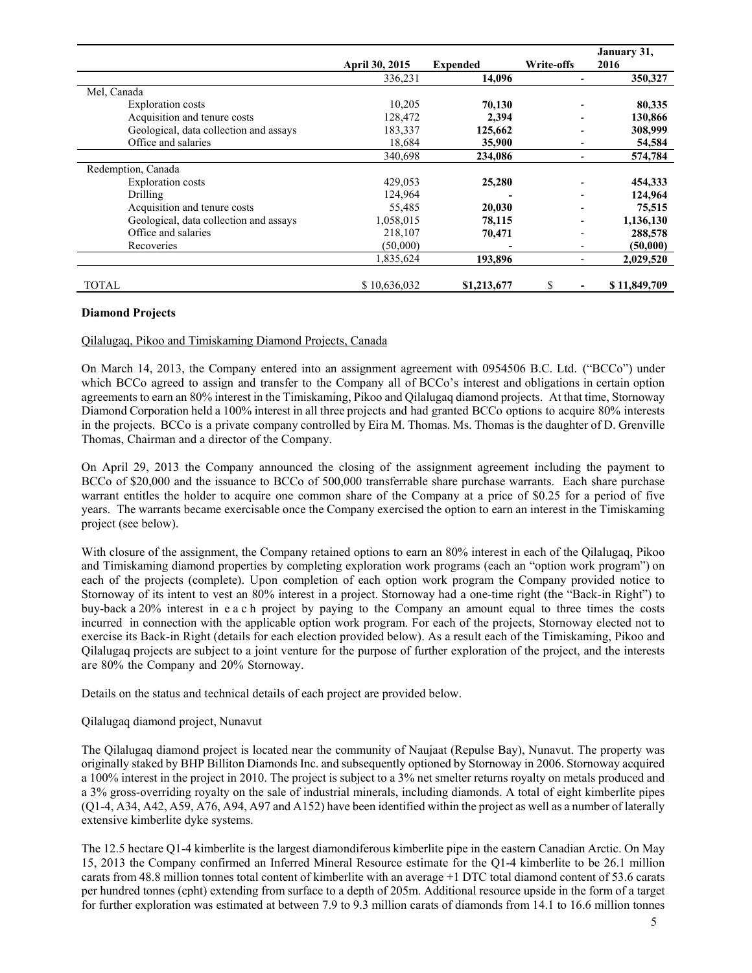|                                        |                       |                 |                              | January 31,  |
|----------------------------------------|-----------------------|-----------------|------------------------------|--------------|
|                                        | <b>April 30, 2015</b> | <b>Expended</b> | Write-offs                   | 2016         |
|                                        | 336,231               | 14,096          |                              | 350,327      |
| Mel, Canada                            |                       |                 |                              |              |
| <b>Exploration</b> costs               | 10,205                | 70,130          |                              | 80,335       |
| Acquisition and tenure costs           | 128,472               | 2.394           |                              | 130,866      |
| Geological, data collection and assays | 183,337               | 125,662         | $\overline{\phantom{0}}$     | 308,999      |
| Office and salaries                    | 18,684                | 35,900          | $\overline{\phantom{0}}$     | 54,584       |
|                                        | 340,698               | 234,086         | $\qquad \qquad$              | 574,784      |
| Redemption, Canada                     |                       |                 |                              |              |
| <b>Exploration</b> costs               | 429,053               | 25,280          |                              | 454,333      |
| Drilling                               | 124,964               |                 | $\overline{\phantom{0}}$     | 124,964      |
| Acquisition and tenure costs           | 55,485                | 20,030          | $\overline{\phantom{0}}$     | 75,515       |
| Geological, data collection and assays | 1,058,015             | 78,115          | $\qquad \qquad \blacksquare$ | 1,136,130    |
| Office and salaries                    | 218,107               | 70,471          |                              | 288,578      |
| Recoveries                             | (50,000)              |                 |                              | (50,000)     |
|                                        | 1,835,624             | 193,896         |                              | 2,029,520    |
| TOTAL                                  | \$10,636,032          | \$1,213,677     | S                            | \$11,849,709 |

#### **Diamond Projects**

#### Qilalugaq, Pikoo and Timiskaming Diamond Projects, Canada

On March 14, 2013, the Company entered into an assignment agreement with 0954506 B.C. Ltd. ("BCCo") under which BCCo agreed to assign and transfer to the Company all of BCCo's interest and obligations in certain option agreements to earn an 80% interest in the Timiskaming, Pikoo and Qilalugaq diamond projects. At that time, Stornoway Diamond Corporation held a 100% interest in all three projects and had granted BCCo options to acquire 80% interests in the projects. BCCo is a private company controlled by Eira M. Thomas. Ms. Thomas is the daughter of D. Grenville Thomas, Chairman and a director of the Company.

On April 29, 2013 the Company announced the closing of the assignment agreement including the payment to BCCo of \$20,000 and the issuance to BCCo of 500,000 transferrable share purchase warrants. Each share purchase warrant entitles the holder to acquire one common share of the Company at a price of \$0.25 for a period of five years. The warrants became exercisable once the Company exercised the option to earn an interest in the Timiskaming project (see below).

With closure of the assignment, the Company retained options to earn an 80% interest in each of the Qilalugaq, Pikoo and Timiskaming diamond properties by completing exploration work programs (each an "option work program") on each of the projects (complete). Upon completion of each option work program the Company provided notice to Stornoway of its intent to vest an 80% interest in a project. Stornoway had a one-time right (the "Back-in Right") to buy-back a 20% interest in e a c h project by paying to the Company an amount equal to three times the costs incurred in connection with the applicable option work program. For each of the projects, Stornoway elected not to exercise its Back-in Right (details for each election provided below). As a result each of the Timiskaming, Pikoo and Qilalugaq projects are subject to a joint venture for the purpose of further exploration of the project, and the interests are 80% the Company and 20% Stornoway.

Details on the status and technical details of each project are provided below.

#### Qilalugaq diamond project, Nunavut

The Qilalugaq diamond project is located near the community of Naujaat (Repulse Bay), Nunavut. The property was originally staked by BHP Billiton Diamonds Inc. and subsequently optioned by Stornoway in 2006. Stornoway acquired a 100% interest in the project in 2010. The project is subject to a 3% net smelter returns royalty on metals produced and a 3% gross-overriding royalty on the sale of industrial minerals, including diamonds. A total of eight kimberlite pipes (Q1-4, A34, A42, A59, A76, A94, A97 and A152) have been identified within the project as well as a number of laterally extensive kimberlite dyke systems.

The 12.5 hectare Q1-4 kimberlite is the largest diamondiferous kimberlite pipe in the eastern Canadian Arctic. On May 15, 2013 the Company confirmed an Inferred Mineral Resource estimate for the Q1-4 kimberlite to be 26.1 million carats from 48.8 million tonnes total content of kimberlite with an average +1 DTC total diamond content of 53.6 carats per hundred tonnes (cpht) extending from surface to a depth of 205m. Additional resource upside in the form of a target for further exploration was estimated at between 7.9 to 9.3 million carats of diamonds from 14.1 to 16.6 million tonnes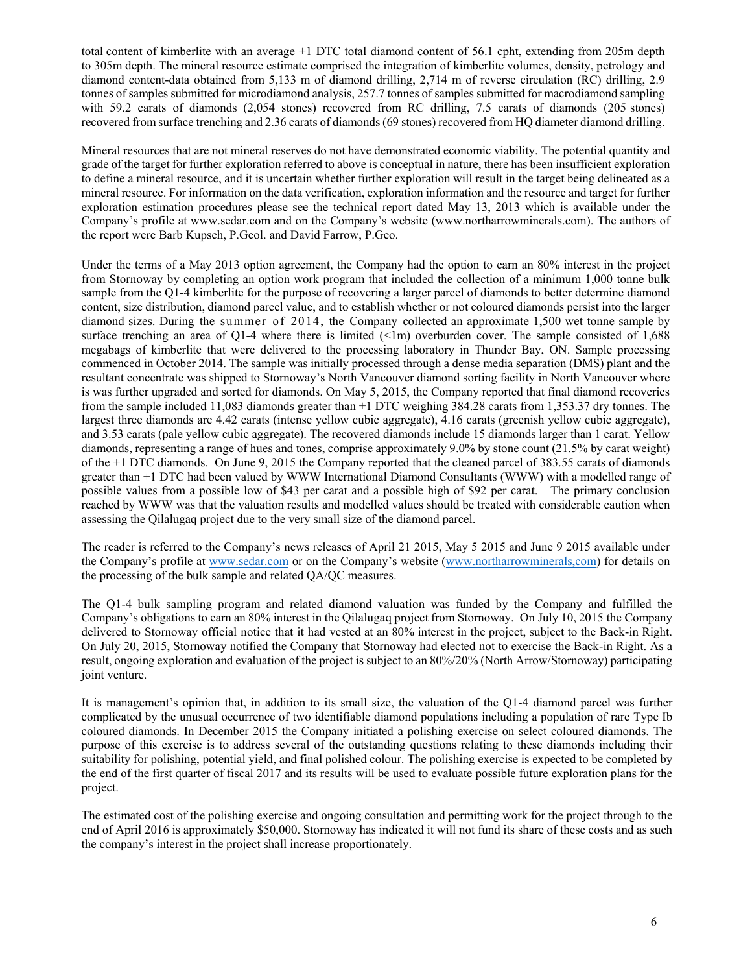total content of kimberlite with an average +1 DTC total diamond content of 56.1 cpht, extending from 205m depth to 305m depth. The mineral resource estimate comprised the integration of kimberlite volumes, density, petrology and diamond content-data obtained from 5,133 m of diamond drilling, 2,714 m of reverse circulation (RC) drilling, 2.9 tonnes of samples submitted for microdiamond analysis, 257.7 tonnes of samples submitted for macrodiamond sampling with 59.2 carats of diamonds (2,054 stones) recovered from RC drilling, 7.5 carats of diamonds (205 stones) recovered from surface trenching and 2.36 carats of diamonds (69 stones) recovered from HQ diameter diamond drilling.

Mineral resources that are not mineral reserves do not have demonstrated economic viability. The potential quantity and grade of the target for further exploration referred to above is conceptual in nature, there has been insufficient exploration to define a mineral resource, and it is uncertain whether further exploration will result in the target being delineated as a mineral resource. For information on the data verification, exploration information and the resource and target for further exploration estimation procedures please see the technical report dated May 13, 2013 which is available under the Company's profile at www.sedar.com and on the Company's website (www.northarrowminerals.com). The authors of the report were Barb Kupsch, P.Geol. and David Farrow, P.Geo.

Under the terms of a May 2013 option agreement, the Company had the option to earn an 80% interest in the project from Stornoway by completing an option work program that included the collection of a minimum 1,000 tonne bulk sample from the Q1-4 kimberlite for the purpose of recovering a larger parcel of diamonds to better determine diamond content, size distribution, diamond parcel value, and to establish whether or not coloured diamonds persist into the larger diamond sizes. During the summer of 2014, the Company collected an approximate 1,500 wet tonne sample by surface trenching an area of Q1-4 where there is limited  $(\leq 1m)$  overburden cover. The sample consisted of 1,688 megabags of kimberlite that were delivered to the processing laboratory in Thunder Bay, ON. Sample processing commenced in October 2014. The sample was initially processed through a dense media separation (DMS) plant and the resultant concentrate was shipped to Stornoway's North Vancouver diamond sorting facility in North Vancouver where is was further upgraded and sorted for diamonds. On May 5, 2015, the Company reported that final diamond recoveries from the sample included 11,083 diamonds greater than +1 DTC weighing 384.28 carats from 1,353.37 dry tonnes. The largest three diamonds are 4.42 carats (intense yellow cubic aggregate), 4.16 carats (greenish yellow cubic aggregate), and 3.53 carats (pale yellow cubic aggregate). The recovered diamonds include 15 diamonds larger than 1 carat. Yellow diamonds, representing a range of hues and tones, comprise approximately 9.0% by stone count (21.5% by carat weight) of the +1 DTC diamonds. On June 9, 2015 the Company reported that the cleaned parcel of 383.55 carats of diamonds greater than +1 DTC had been valued by WWW International Diamond Consultants (WWW) with a modelled range of possible values from a possible low of \$43 per carat and a possible high of \$92 per carat. The primary conclusion reached by WWW was that the valuation results and modelled values should be treated with considerable caution when assessing the Qilalugaq project due to the very small size of the diamond parcel.

The reader is referred to the Company's news releases of April 21 2015, May 5 2015 and June 9 2015 available under the Company's profile at www.sedar.com or on the Company's website (www.northarrowminerals,com) for details on the processing of the bulk sample and related QA/QC measures.

The Q1-4 bulk sampling program and related diamond valuation was funded by the Company and fulfilled the Company's obligations to earn an 80% interest in the Qilalugaq project from Stornoway. On July 10, 2015 the Company delivered to Stornoway official notice that it had vested at an 80% interest in the project, subject to the Back-in Right. On July 20, 2015, Stornoway notified the Company that Stornoway had elected not to exercise the Back-in Right. As a result, ongoing exploration and evaluation of the project is subject to an 80%/20% (North Arrow/Stornoway) participating joint venture.

It is management's opinion that, in addition to its small size, the valuation of the Q1-4 diamond parcel was further complicated by the unusual occurrence of two identifiable diamond populations including a population of rare Type Ib coloured diamonds. In December 2015 the Company initiated a polishing exercise on select coloured diamonds. The purpose of this exercise is to address several of the outstanding questions relating to these diamonds including their suitability for polishing, potential yield, and final polished colour. The polishing exercise is expected to be completed by the end of the first quarter of fiscal 2017 and its results will be used to evaluate possible future exploration plans for the project.

The estimated cost of the polishing exercise and ongoing consultation and permitting work for the project through to the end of April 2016 is approximately \$50,000. Stornoway has indicated it will not fund its share of these costs and as such the company's interest in the project shall increase proportionately.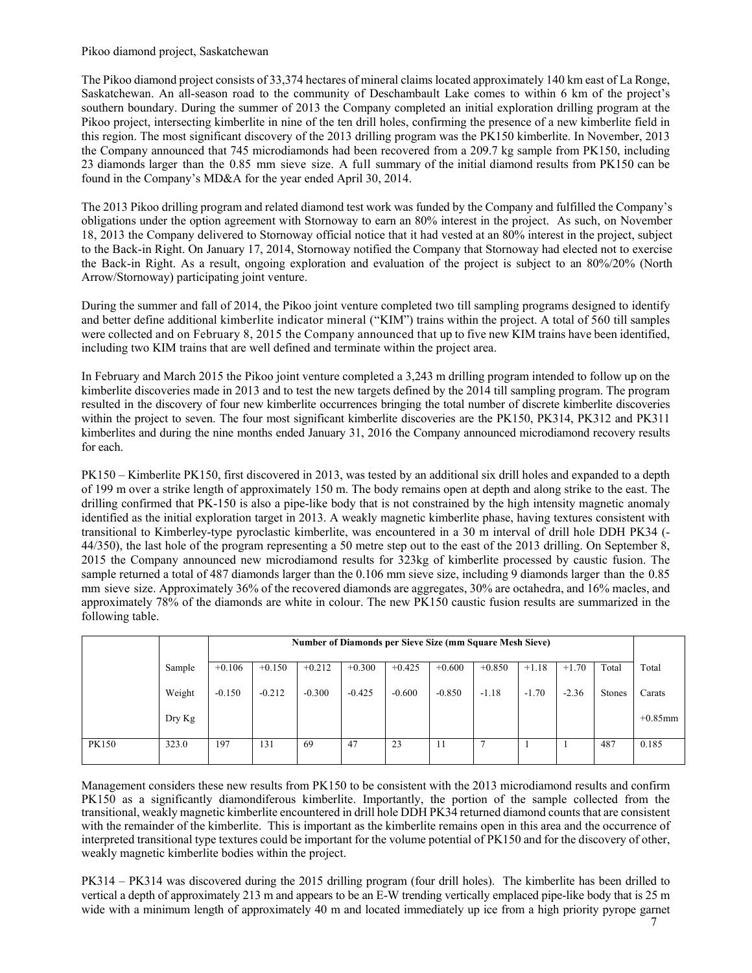#### Pikoo diamond project, Saskatchewan

The Pikoo diamond project consists of 33,374 hectares of mineral claims located approximately 140 km east of La Ronge, Saskatchewan. An all-season road to the community of Deschambault Lake comes to within 6 km of the project's southern boundary. During the summer of 2013 the Company completed an initial exploration drilling program at the Pikoo project, intersecting kimberlite in nine of the ten drill holes, confirming the presence of a new kimberlite field in this region. The most significant discovery of the 2013 drilling program was the PK150 kimberlite. In November, 2013 the Company announced that 745 microdiamonds had been recovered from a 209.7 kg sample from PK150, including 23 diamonds larger than the 0.85 mm sieve size. A full summary of the initial diamond results from PK150 can be found in the Company's MD&A for the year ended April 30, 2014.

The 2013 Pikoo drilling program and related diamond test work was funded by the Company and fulfilled the Company's obligations under the option agreement with Stornoway to earn an 80% interest in the project. As such, on November 18, 2013 the Company delivered to Stornoway official notice that it had vested at an 80% interest in the project, subject to the Back-in Right. On January 17, 2014, Stornoway notified the Company that Stornoway had elected not to exercise the Back-in Right. As a result, ongoing exploration and evaluation of the project is subject to an 80%/20% (North Arrow/Stornoway) participating joint venture.

During the summer and fall of 2014, the Pikoo joint venture completed two till sampling programs designed to identify and better define additional kimberlite indicator mineral ("KIM") trains within the project. A total of 560 till samples were collected and on February 8, 2015 the Company announced that up to five new KIM trains have been identified, including two KIM trains that are well defined and terminate within the project area.

In February and March 2015 the Pikoo joint venture completed a 3,243 m drilling program intended to follow up on the kimberlite discoveries made in 2013 and to test the new targets defined by the 2014 till sampling program. The program resulted in the discovery of four new kimberlite occurrences bringing the total number of discrete kimberlite discoveries within the project to seven. The four most significant kimberlite discoveries are the PK150, PK314, PK312 and PK311 kimberlites and during the nine months ended January 31, 2016 the Company announced microdiamond recovery results for each.

PK150 – Kimberlite PK150, first discovered in 2013, was tested by an additional six drill holes and expanded to a depth of 199 m over a strike length of approximately 150 m. The body remains open at depth and along strike to the east. The drilling confirmed that PK-150 is also a pipe-like body that is not constrained by the high intensity magnetic anomaly identified as the initial exploration target in 2013. A weakly magnetic kimberlite phase, having textures consistent with transitional to Kimberley-type pyroclastic kimberlite, was encountered in a 30 m interval of drill hole DDH PK34 (- 44/350), the last hole of the program representing a 50 metre step out to the east of the 2013 drilling. On September 8, 2015 the Company announced new microdiamond results for 323kg of kimberlite processed by caustic fusion. The sample returned a total of 487 diamonds larger than the 0.106 mm sieve size, including 9 diamonds larger than the 0.85 mm sieve size. Approximately 36% of the recovered diamonds are aggregates, 30% are octahedra, and 16% macles, and approximately 78% of the diamonds are white in colour. The new PK150 caustic fusion results are summarized in the following table.

|              |                  |          | <b>Number of Diamonds per Sieve Size (mm Square Mesh Sieve)</b> |          |          |          |          |          |         |         |               |            |
|--------------|------------------|----------|-----------------------------------------------------------------|----------|----------|----------|----------|----------|---------|---------|---------------|------------|
|              | Sample           | $+0.106$ | $+0.150$                                                        | $+0.212$ | $+0.300$ | $+0.425$ | $+0.600$ | $+0.850$ | $+1.18$ | $+1.70$ | Total         | Total      |
|              | Weight           | $-0.150$ | $-0.212$                                                        | $-0.300$ | $-0.425$ | $-0.600$ | $-0.850$ | $-1.18$  | $-1.70$ | $-2.36$ | <b>Stones</b> | Carats     |
|              | $_{\rm{Dry~Kg}}$ |          |                                                                 |          |          |          |          |          |         |         |               | $+0.85$ mm |
| <b>PK150</b> | 323.0            | 197      | 131                                                             | 69       | 47       | 23       | 11       |          |         |         | 487           | 0.185      |

Management considers these new results from PK150 to be consistent with the 2013 microdiamond results and confirm PK150 as a significantly diamondiferous kimberlite. Importantly, the portion of the sample collected from the transitional, weakly magnetic kimberlite encountered in drill hole DDH PK34 returned diamond counts that are consistent with the remainder of the kimberlite. This is important as the kimberlite remains open in this area and the occurrence of interpreted transitional type textures could be important for the volume potential of PK150 and for the discovery of other, weakly magnetic kimberlite bodies within the project.

PK314 – PK314 was discovered during the 2015 drilling program (four drill holes). The kimberlite has been drilled to vertical a depth of approximately 213 m and appears to be an E-W trending vertically emplaced pipe-like body that is 25 m wide with a minimum length of approximately 40 m and located immediately up ice from a high priority pyrope garnet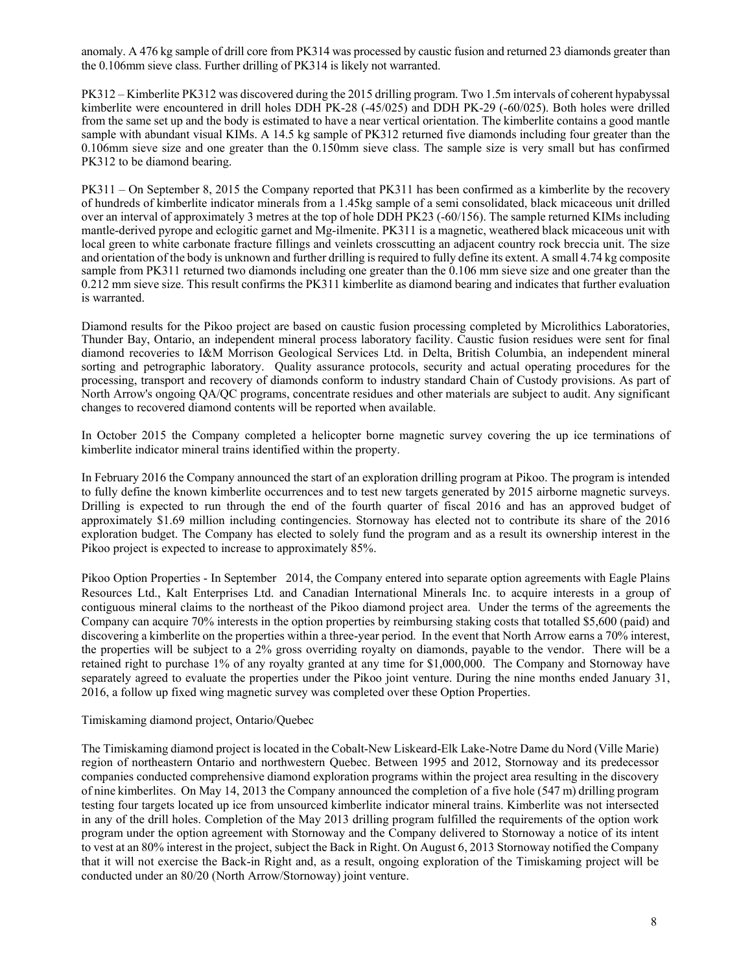anomaly. A 476 kg sample of drill core from PK314 was processed by caustic fusion and returned 23 diamonds greater than the 0.106mm sieve class. Further drilling of PK314 is likely not warranted.

PK312 – Kimberlite PK312 was discovered during the 2015 drilling program. Two 1.5m intervals of coherent hypabyssal kimberlite were encountered in drill holes DDH PK-28 (-45/025) and DDH PK-29 (-60/025). Both holes were drilled from the same set up and the body is estimated to have a near vertical orientation. The kimberlite contains a good mantle sample with abundant visual KIMs. A 14.5 kg sample of PK312 returned five diamonds including four greater than the 0.106mm sieve size and one greater than the 0.150mm sieve class. The sample size is very small but has confirmed PK312 to be diamond bearing.

PK311 – On September 8, 2015 the Company reported that PK311 has been confirmed as a kimberlite by the recovery of hundreds of kimberlite indicator minerals from a 1.45kg sample of a semi consolidated, black micaceous unit drilled over an interval of approximately 3 metres at the top of hole DDH PK23 (-60/156). The sample returned KIMs including mantle-derived pyrope and eclogitic garnet and Mg-ilmenite. PK311 is a magnetic, weathered black micaceous unit with local green to white carbonate fracture fillings and veinlets crosscutting an adjacent country rock breccia unit. The size and orientation of the body is unknown and further drilling is required to fully define its extent. A small 4.74 kg composite sample from PK311 returned two diamonds including one greater than the 0.106 mm sieve size and one greater than the 0.212 mm sieve size. This result confirms the PK311 kimberlite as diamond bearing and indicates that further evaluation is warranted.

Diamond results for the Pikoo project are based on caustic fusion processing completed by Microlithics Laboratories, Thunder Bay, Ontario, an independent mineral process laboratory facility. Caustic fusion residues were sent for final diamond recoveries to I&M Morrison Geological Services Ltd. in Delta, British Columbia, an independent mineral sorting and petrographic laboratory. Quality assurance protocols, security and actual operating procedures for the processing, transport and recovery of diamonds conform to industry standard Chain of Custody provisions. As part of North Arrow's ongoing QA/QC programs, concentrate residues and other materials are subject to audit. Any significant changes to recovered diamond contents will be reported when available.

In October 2015 the Company completed a helicopter borne magnetic survey covering the up ice terminations of kimberlite indicator mineral trains identified within the property.

In February 2016 the Company announced the start of an exploration drilling program at Pikoo. The program is intended to fully define the known kimberlite occurrences and to test new targets generated by 2015 airborne magnetic surveys. Drilling is expected to run through the end of the fourth quarter of fiscal 2016 and has an approved budget of approximately \$1.69 million including contingencies. Stornoway has elected not to contribute its share of the 2016 exploration budget. The Company has elected to solely fund the program and as a result its ownership interest in the Pikoo project is expected to increase to approximately 85%.

Pikoo Option Properties - In September 2014, the Company entered into separate option agreements with Eagle Plains Resources Ltd., Kalt Enterprises Ltd. and Canadian International Minerals Inc. to acquire interests in a group of contiguous mineral claims to the northeast of the Pikoo diamond project area. Under the terms of the agreements the Company can acquire 70% interests in the option properties by reimbursing staking costs that totalled \$5,600 (paid) and discovering a kimberlite on the properties within a three-year period. In the event that North Arrow earns a 70% interest, the properties will be subject to a 2% gross overriding royalty on diamonds, payable to the vendor. There will be a retained right to purchase 1% of any royalty granted at any time for \$1,000,000. The Company and Stornoway have separately agreed to evaluate the properties under the Pikoo joint venture. During the nine months ended January 31, 2016, a follow up fixed wing magnetic survey was completed over these Option Properties.

#### Timiskaming diamond project, Ontario/Quebec

The Timiskaming diamond project is located in the Cobalt-New Liskeard-Elk Lake-Notre Dame du Nord (Ville Marie) region of northeastern Ontario and northwestern Quebec. Between 1995 and 2012, Stornoway and its predecessor companies conducted comprehensive diamond exploration programs within the project area resulting in the discovery of nine kimberlites. On May 14, 2013 the Company announced the completion of a five hole (547 m) drilling program testing four targets located up ice from unsourced kimberlite indicator mineral trains. Kimberlite was not intersected in any of the drill holes. Completion of the May 2013 drilling program fulfilled the requirements of the option work program under the option agreement with Stornoway and the Company delivered to Stornoway a notice of its intent to vest at an 80% interest in the project, subject the Back in Right. On August 6, 2013 Stornoway notified the Company that it will not exercise the Back-in Right and, as a result, ongoing exploration of the Timiskaming project will be conducted under an 80/20 (North Arrow/Stornoway) joint venture.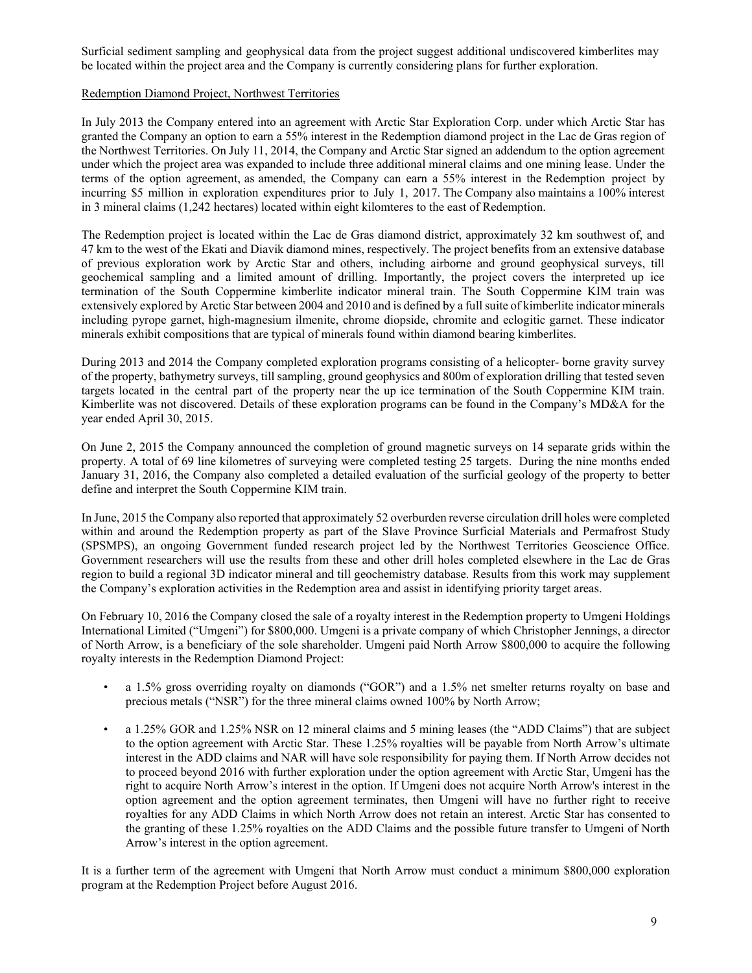Surficial sediment sampling and geophysical data from the project suggest additional undiscovered kimberlites may be located within the project area and the Company is currently considering plans for further exploration.

## Redemption Diamond Project, Northwest Territories

In July 2013 the Company entered into an agreement with Arctic Star Exploration Corp. under which Arctic Star has granted the Company an option to earn a 55% interest in the Redemption diamond project in the Lac de Gras region of the Northwest Territories. On July 11, 2014, the Company and Arctic Star signed an addendum to the option agreement under which the project area was expanded to include three additional mineral claims and one mining lease. Under the terms of the option agreement, as amended, the Company can earn a 55% interest in the Redemption project by incurring \$5 million in exploration expenditures prior to July 1, 2017. The Company also maintains a 100% interest in 3 mineral claims (1,242 hectares) located within eight kilomteres to the east of Redemption.

The Redemption project is located within the Lac de Gras diamond district, approximately 32 km southwest of, and 47 km to the west of the Ekati and Diavik diamond mines, respectively. The project benefits from an extensive database of previous exploration work by Arctic Star and others, including airborne and ground geophysical surveys, till geochemical sampling and a limited amount of drilling. Importantly, the project covers the interpreted up ice termination of the South Coppermine kimberlite indicator mineral train. The South Coppermine KIM train was extensively explored by Arctic Star between 2004 and 2010 and is defined by a full suite of kimberlite indicator minerals including pyrope garnet, high-magnesium ilmenite, chrome diopside, chromite and eclogitic garnet. These indicator minerals exhibit compositions that are typical of minerals found within diamond bearing kimberlites.

During 2013 and 2014 the Company completed exploration programs consisting of a helicopter- borne gravity survey of the property, bathymetry surveys, till sampling, ground geophysics and 800m of exploration drilling that tested seven targets located in the central part of the property near the up ice termination of the South Coppermine KIM train. Kimberlite was not discovered. Details of these exploration programs can be found in the Company's MD&A for the year ended April 30, 2015.

On June 2, 2015 the Company announced the completion of ground magnetic surveys on 14 separate grids within the property. A total of 69 line kilometres of surveying were completed testing 25 targets. During the nine months ended January 31, 2016, the Company also completed a detailed evaluation of the surficial geology of the property to better define and interpret the South Coppermine KIM train.

In June, 2015 the Company also reported that approximately 52 overburden reverse circulation drill holes were completed within and around the Redemption property as part of the Slave Province Surficial Materials and Permafrost Study (SPSMPS), an ongoing Government funded research project led by the Northwest Territories Geoscience Office. Government researchers will use the results from these and other drill holes completed elsewhere in the Lac de Gras region to build a regional 3D indicator mineral and till geochemistry database. Results from this work may supplement the Company's exploration activities in the Redemption area and assist in identifying priority target areas.

On February 10, 2016 the Company closed the sale of a royalty interest in the Redemption property to Umgeni Holdings International Limited ("Umgeni") for \$800,000. Umgeni is a private company of which Christopher Jennings, a director of North Arrow, is a beneficiary of the sole shareholder. Umgeni paid North Arrow \$800,000 to acquire the following royalty interests in the Redemption Diamond Project:

- a 1.5% gross overriding royalty on diamonds ("GOR") and a 1.5% net smelter returns royalty on base and precious metals ("NSR") for the three mineral claims owned 100% by North Arrow;
- a 1.25% GOR and 1.25% NSR on 12 mineral claims and 5 mining leases (the "ADD Claims") that are subject to the option agreement with Arctic Star. These 1.25% royalties will be payable from North Arrow's ultimate interest in the ADD claims and NAR will have sole responsibility for paying them. If North Arrow decides not to proceed beyond 2016 with further exploration under the option agreement with Arctic Star, Umgeni has the right to acquire North Arrow's interest in the option. If Umgeni does not acquire North Arrow's interest in the option agreement and the option agreement terminates, then Umgeni will have no further right to receive royalties for any ADD Claims in which North Arrow does not retain an interest. Arctic Star has consented to the granting of these 1.25% royalties on the ADD Claims and the possible future transfer to Umgeni of North Arrow's interest in the option agreement.

It is a further term of the agreement with Umgeni that North Arrow must conduct a minimum \$800,000 exploration program at the Redemption Project before August 2016.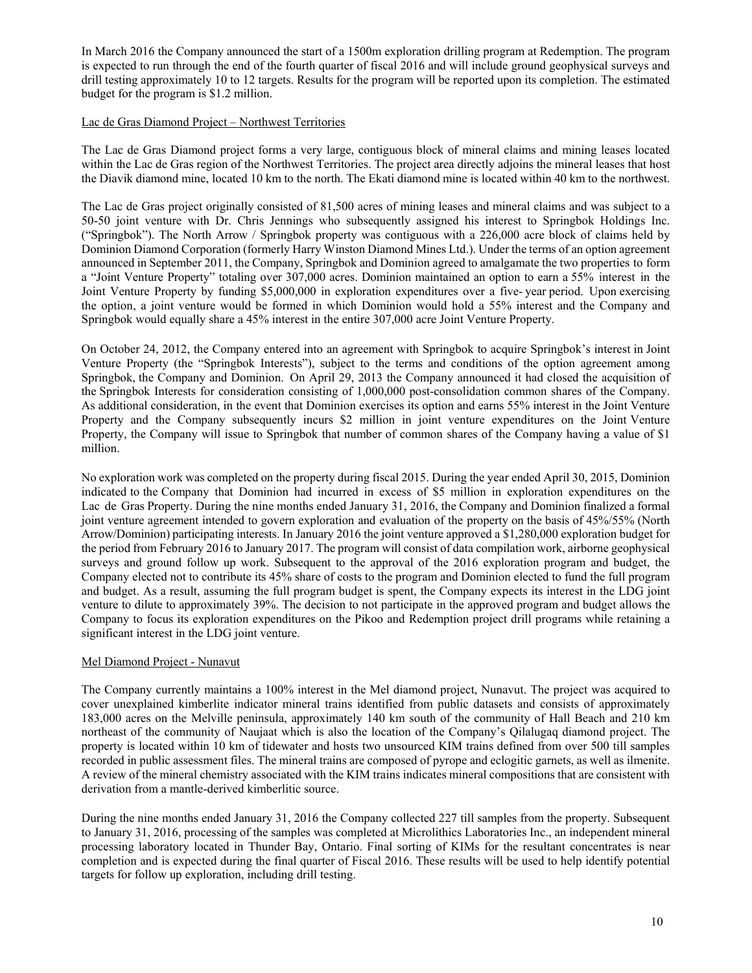In March 2016 the Company announced the start of a 1500m exploration drilling program at Redemption. The program is expected to run through the end of the fourth quarter of fiscal 2016 and will include ground geophysical surveys and drill testing approximately 10 to 12 targets. Results for the program will be reported upon its completion. The estimated budget for the program is \$1.2 million.

## Lac de Gras Diamond Project – Northwest Territories

The Lac de Gras Diamond project forms a very large, contiguous block of mineral claims and mining leases located within the Lac de Gras region of the Northwest Territories. The project area directly adjoins the mineral leases that host the Diavik diamond mine, located 10 km to the north. The Ekati diamond mine is located within 40 km to the northwest.

The Lac de Gras project originally consisted of 81,500 acres of mining leases and mineral claims and was subject to a 50-50 joint venture with Dr. Chris Jennings who subsequently assigned his interest to Springbok Holdings Inc. ("Springbok"). The North Arrow / Springbok property was contiguous with a 226,000 acre block of claims held by Dominion Diamond Corporation (formerly Harry Winston Diamond Mines Ltd.). Under the terms of an option agreement announced in September 2011, the Company, Springbok and Dominion agreed to amalgamate the two properties to form a "Joint Venture Property" totaling over 307,000 acres. Dominion maintained an option to earn a 55% interest in the Joint Venture Property by funding \$5,000,000 in exploration expenditures over a five- year period. Upon exercising the option, a joint venture would be formed in which Dominion would hold a 55% interest and the Company and Springbok would equally share a 45% interest in the entire 307,000 acre Joint Venture Property.

On October 24, 2012, the Company entered into an agreement with Springbok to acquire Springbok's interest in Joint Venture Property (the "Springbok Interests"), subject to the terms and conditions of the option agreement among Springbok, the Company and Dominion. On April 29, 2013 the Company announced it had closed the acquisition of the Springbok Interests for consideration consisting of 1,000,000 post-consolidation common shares of the Company. As additional consideration, in the event that Dominion exercises its option and earns 55% interest in the Joint Venture Property and the Company subsequently incurs \$2 million in joint venture expenditures on the Joint Venture Property, the Company will issue to Springbok that number of common shares of the Company having a value of \$1 million.

No exploration work was completed on the property during fiscal 2015. During the year ended April 30, 2015, Dominion indicated to the Company that Dominion had incurred in excess of \$5 million in exploration expenditures on the Lac de Gras Property. During the nine months ended January 31, 2016, the Company and Dominion finalized a formal joint venture agreement intended to govern exploration and evaluation of the property on the basis of 45%/55% (North Arrow/Dominion) participating interests. In January 2016 the joint venture approved a \$1,280,000 exploration budget for the period from February 2016 to January 2017. The program will consist of data compilation work, airborne geophysical surveys and ground follow up work. Subsequent to the approval of the 2016 exploration program and budget, the Company elected not to contribute its 45% share of costs to the program and Dominion elected to fund the full program and budget. As a result, assuming the full program budget is spent, the Company expects its interest in the LDG joint venture to dilute to approximately 39%. The decision to not participate in the approved program and budget allows the Company to focus its exploration expenditures on the Pikoo and Redemption project drill programs while retaining a significant interest in the LDG joint venture.

## Mel Diamond Project - Nunavut

The Company currently maintains a 100% interest in the Mel diamond project, Nunavut. The project was acquired to cover unexplained kimberlite indicator mineral trains identified from public datasets and consists of approximately 183,000 acres on the Melville peninsula, approximately 140 km south of the community of Hall Beach and 210 km northeast of the community of Naujaat which is also the location of the Company's Qilalugaq diamond project. The property is located within 10 km of tidewater and hosts two unsourced KIM trains defined from over 500 till samples recorded in public assessment files. The mineral trains are composed of pyrope and eclogitic garnets, as well as ilmenite. A review of the mineral chemistry associated with the KIM trains indicates mineral compositions that are consistent with derivation from a mantle-derived kimberlitic source.

During the nine months ended January 31, 2016 the Company collected 227 till samples from the property. Subsequent to January 31, 2016, processing of the samples was completed at Microlithics Laboratories Inc., an independent mineral processing laboratory located in Thunder Bay, Ontario. Final sorting of KIMs for the resultant concentrates is near completion and is expected during the final quarter of Fiscal 2016. These results will be used to help identify potential targets for follow up exploration, including drill testing.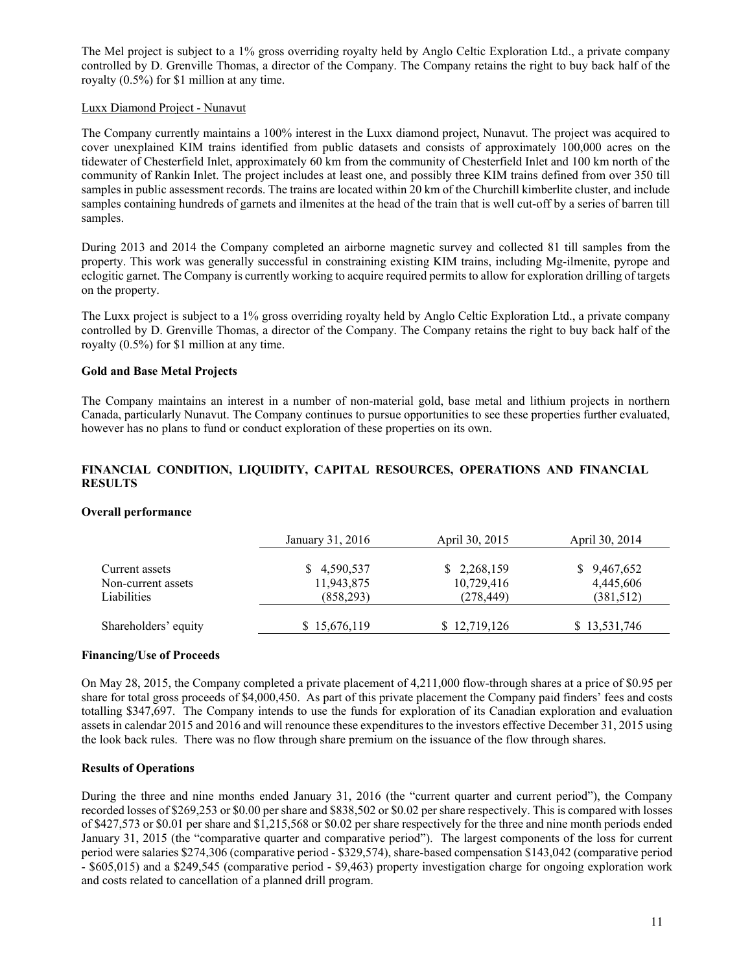The Mel project is subject to a 1% gross overriding royalty held by Anglo Celtic Exploration Ltd., a private company controlled by D. Grenville Thomas, a director of the Company. The Company retains the right to buy back half of the royalty (0.5%) for \$1 million at any time.

#### Luxx Diamond Project - Nunavut

The Company currently maintains a 100% interest in the Luxx diamond project, Nunavut. The project was acquired to cover unexplained KIM trains identified from public datasets and consists of approximately 100,000 acres on the tidewater of Chesterfield Inlet, approximately 60 km from the community of Chesterfield Inlet and 100 km north of the community of Rankin Inlet. The project includes at least one, and possibly three KIM trains defined from over 350 till samples in public assessment records. The trains are located within 20 km of the Churchill kimberlite cluster, and include samples containing hundreds of garnets and ilmenites at the head of the train that is well cut-off by a series of barren till samples.

During 2013 and 2014 the Company completed an airborne magnetic survey and collected 81 till samples from the property. This work was generally successful in constraining existing KIM trains, including Mg-ilmenite, pyrope and eclogitic garnet. The Company is currently working to acquire required permits to allow for exploration drilling of targets on the property.

The Luxx project is subject to a 1% gross overriding royalty held by Anglo Celtic Exploration Ltd., a private company controlled by D. Grenville Thomas, a director of the Company. The Company retains the right to buy back half of the royalty (0.5%) for \$1 million at any time.

#### **Gold and Base Metal Projects**

The Company maintains an interest in a number of non-material gold, base metal and lithium projects in northern Canada, particularly Nunavut. The Company continues to pursue opportunities to see these properties further evaluated, however has no plans to fund or conduct exploration of these properties on its own.

## **FINANCIAL CONDITION, LIQUIDITY, CAPITAL RESOURCES, OPERATIONS AND FINANCIAL RESULTS**

#### **Overall performance**

|                                                     | January 31, 2016                            | April 30, 2015                          | April 30, 2014                        |
|-----------------------------------------------------|---------------------------------------------|-----------------------------------------|---------------------------------------|
| Current assets<br>Non-current assets<br>Liabilities | 4,590,537<br>S.<br>11,943,875<br>(858, 293) | \$2,268,159<br>10,729,416<br>(278, 449) | \$9,467,652<br>4,445,606<br>(381,512) |
| Shareholders' equity                                | \$15,676,119                                | \$12,719,126                            | \$13,531,746                          |

#### **Financing/Use of Proceeds**

On May 28, 2015, the Company completed a private placement of 4,211,000 flow-through shares at a price of \$0.95 per share for total gross proceeds of \$4,000,450. As part of this private placement the Company paid finders' fees and costs totalling \$347,697. The Company intends to use the funds for exploration of its Canadian exploration and evaluation assets in calendar 2015 and 2016 and will renounce these expenditures to the investors effective December 31, 2015 using the look back rules. There was no flow through share premium on the issuance of the flow through shares.

## **Results of Operations**

During the three and nine months ended January 31, 2016 (the "current quarter and current period"), the Company recorded losses of \$269,253 or \$0.00 per share and \$838,502 or \$0.02 per share respectively. This is compared with losses of \$427,573 or \$0.01 per share and \$1,215,568 or \$0.02 per share respectively for the three and nine month periods ended January 31, 2015 (the "comparative quarter and comparative period"). The largest components of the loss for current period were salaries \$274,306 (comparative period - \$329,574), share-based compensation \$143,042 (comparative period - \$605,015) and a \$249,545 (comparative period - \$9,463) property investigation charge for ongoing exploration work and costs related to cancellation of a planned drill program.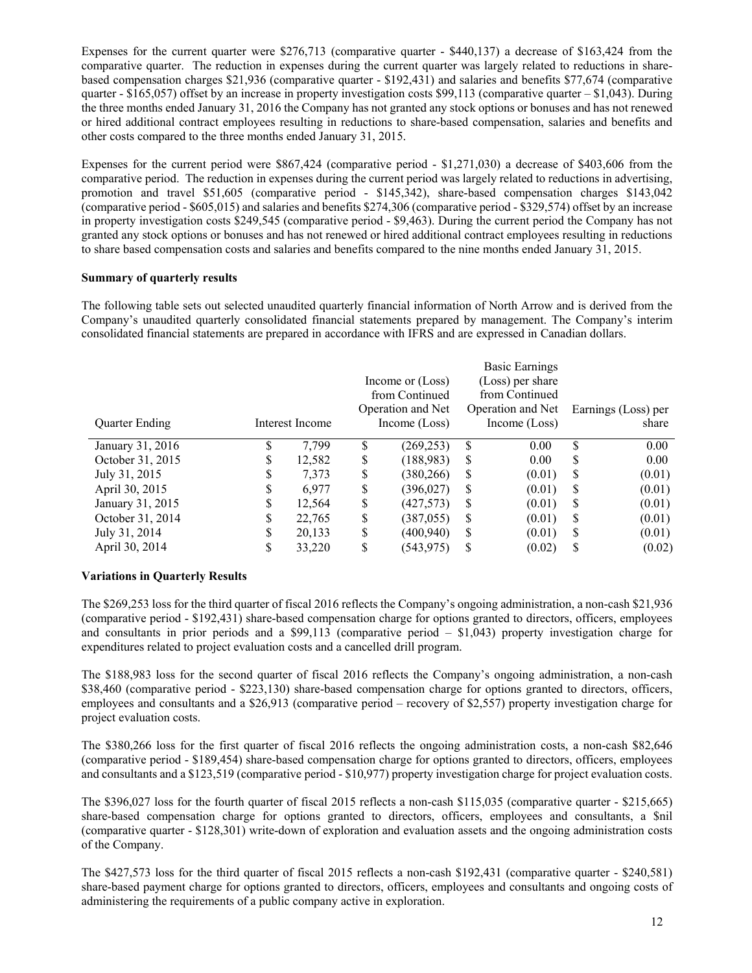Expenses for the current quarter were \$276,713 (comparative quarter - \$440,137) a decrease of \$163,424 from the comparative quarter. The reduction in expenses during the current quarter was largely related to reductions in sharebased compensation charges \$21,936 (comparative quarter - \$192,431) and salaries and benefits \$77,674 (comparative quarter -  $$165,057$ ) offset by an increase in property investigation costs \$99,113 (comparative quarter – \$1,043). During the three months ended January 31, 2016 the Company has not granted any stock options or bonuses and has not renewed or hired additional contract employees resulting in reductions to share-based compensation, salaries and benefits and other costs compared to the three months ended January 31, 2015.

Expenses for the current period were \$867,424 (comparative period - \$1,271,030) a decrease of \$403,606 from the comparative period. The reduction in expenses during the current period was largely related to reductions in advertising, promotion and travel \$51,605 (comparative period - \$145,342), share-based compensation charges \$143,042 (comparative period - \$605,015) and salaries and benefits \$274,306 (comparative period - \$329,574) offset by an increase in property investigation costs \$249,545 (comparative period - \$9,463). During the current period the Company has not granted any stock options or bonuses and has not renewed or hired additional contract employees resulting in reductions to share based compensation costs and salaries and benefits compared to the nine months ended January 31, 2015.

## **Summary of quarterly results**

The following table sets out selected unaudited quarterly financial information of North Arrow and is derived from the Company's unaudited quarterly consolidated financial statements prepared by management. The Company's interim consolidated financial statements are prepared in accordance with IFRS and are expressed in Canadian dollars.

|                  |    |                 |    |                   |   | <b>Basic Earnings</b> |    |                     |
|------------------|----|-----------------|----|-------------------|---|-----------------------|----|---------------------|
|                  |    |                 |    | Income or (Loss)  |   | (Loss) per share      |    |                     |
|                  |    |                 |    | from Continued    |   | from Continued        |    |                     |
|                  |    |                 |    | Operation and Net |   | Operation and Net     |    | Earnings (Loss) per |
| Quarter Ending   |    | Interest Income |    | Income (Loss)     |   | Income (Loss)         |    | share               |
| January 31, 2016 | ۵. | 7.799           | S  | (269, 253)        | S | 0.00                  | \$ | 0.00                |
| October 31, 2015 | S  | 12,582          | S  | (188, 983)        | S | 0.00                  | S  | 0.00                |
| July 31, 2015    | ۰D | 7,373           | \$ | (380, 266)        | S | (0.01)                | \$ | (0.01)              |
| April 30, 2015   | D  | 6,977           | \$ | (396, 027)        | S | (0.01)                | S  | (0.01)              |
| January 31, 2015 | S  | 12.564          | \$ | (427,573)         | S | (0.01)                | \$ | (0.01)              |
| October 31, 2014 | S  | 22,765          | \$ | (387, 055)        | S | (0.01)                | S  | (0.01)              |
| July 31, 2014    | S  | 20,133          | S  | (400, 940)        | S | (0.01)                | S  | (0.01)              |
| April 30, 2014   | J  | 33,220          | ¢  | (543, 975)        | S | (0.02)                | \$ | (0.02)              |

## **Variations in Quarterly Results**

The \$269,253 loss for the third quarter of fiscal 2016 reflects the Company's ongoing administration, a non-cash \$21,936 (comparative period - \$192,431) share-based compensation charge for options granted to directors, officers, employees and consultants in prior periods and a \$99,113 (comparative period  $-$  \$1,043) property investigation charge for expenditures related to project evaluation costs and a cancelled drill program.

The \$188,983 loss for the second quarter of fiscal 2016 reflects the Company's ongoing administration, a non-cash \$38,460 (comparative period - \$223,130) share-based compensation charge for options granted to directors, officers, employees and consultants and a \$26,913 (comparative period – recovery of \$2,557) property investigation charge for project evaluation costs.

The \$380,266 loss for the first quarter of fiscal 2016 reflects the ongoing administration costs, a non-cash \$82,646 (comparative period - \$189,454) share-based compensation charge for options granted to directors, officers, employees and consultants and a \$123,519 (comparative period - \$10,977) property investigation charge for project evaluation costs.

The \$396,027 loss for the fourth quarter of fiscal 2015 reflects a non-cash \$115,035 (comparative quarter - \$215,665) share-based compensation charge for options granted to directors, officers, employees and consultants, a \$nil (comparative quarter - \$128,301) write-down of exploration and evaluation assets and the ongoing administration costs of the Company.

The \$427,573 loss for the third quarter of fiscal 2015 reflects a non-cash \$192,431 (comparative quarter - \$240,581) share-based payment charge for options granted to directors, officers, employees and consultants and ongoing costs of administering the requirements of a public company active in exploration.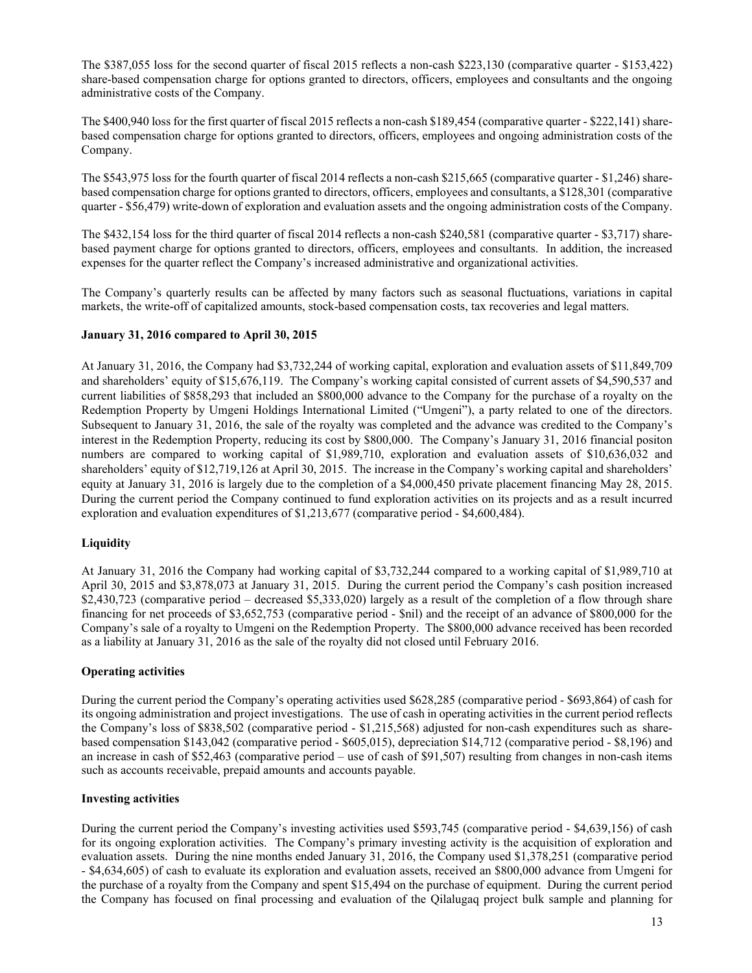The \$387,055 loss for the second quarter of fiscal 2015 reflects a non-cash \$223,130 (comparative quarter - \$153,422) share-based compensation charge for options granted to directors, officers, employees and consultants and the ongoing administrative costs of the Company.

The \$400,940 loss for the first quarter of fiscal 2015 reflects a non-cash \$189,454 (comparative quarter - \$222,141) sharebased compensation charge for options granted to directors, officers, employees and ongoing administration costs of the Company.

The \$543,975 loss for the fourth quarter of fiscal 2014 reflects a non-cash \$215,665 (comparative quarter - \$1,246) sharebased compensation charge for options granted to directors, officers, employees and consultants, a \$128,301 (comparative quarter - \$56,479) write-down of exploration and evaluation assets and the ongoing administration costs of the Company.

The \$432,154 loss for the third quarter of fiscal 2014 reflects a non-cash \$240,581 (comparative quarter - \$3,717) sharebased payment charge for options granted to directors, officers, employees and consultants. In addition, the increased expenses for the quarter reflect the Company's increased administrative and organizational activities.

The Company's quarterly results can be affected by many factors such as seasonal fluctuations, variations in capital markets, the write-off of capitalized amounts, stock-based compensation costs, tax recoveries and legal matters.

# **January 31, 2016 compared to April 30, 2015**

At January 31, 2016, the Company had \$3,732,244 of working capital, exploration and evaluation assets of \$11,849,709 and shareholders' equity of \$15,676,119. The Company's working capital consisted of current assets of \$4,590,537 and current liabilities of \$858,293 that included an \$800,000 advance to the Company for the purchase of a royalty on the Redemption Property by Umgeni Holdings International Limited ("Umgeni"), a party related to one of the directors. Subsequent to January 31, 2016, the sale of the royalty was completed and the advance was credited to the Company's interest in the Redemption Property, reducing its cost by \$800,000. The Company's January 31, 2016 financial positon numbers are compared to working capital of \$1,989,710, exploration and evaluation assets of \$10,636,032 and shareholders' equity of \$12,719,126 at April 30, 2015. The increase in the Company's working capital and shareholders' equity at January 31, 2016 is largely due to the completion of a \$4,000,450 private placement financing May 28, 2015. During the current period the Company continued to fund exploration activities on its projects and as a result incurred exploration and evaluation expenditures of \$1,213,677 (comparative period - \$4,600,484).

# **Liquidity**

At January 31, 2016 the Company had working capital of \$3,732,244 compared to a working capital of \$1,989,710 at April 30, 2015 and \$3,878,073 at January 31, 2015. During the current period the Company's cash position increased \$2,430,723 (comparative period – decreased \$5,333,020) largely as a result of the completion of a flow through share financing for net proceeds of \$3,652,753 (comparative period - \$nil) and the receipt of an advance of \$800,000 for the Company's sale of a royalty to Umgeni on the Redemption Property. The \$800,000 advance received has been recorded as a liability at January 31, 2016 as the sale of the royalty did not closed until February 2016.

## **Operating activities**

During the current period the Company's operating activities used \$628,285 (comparative period - \$693,864) of cash for its ongoing administration and project investigations. The use of cash in operating activities in the current period reflects the Company's loss of \$838,502 (comparative period - \$1,215,568) adjusted for non-cash expenditures such as sharebased compensation \$143,042 (comparative period - \$605,015), depreciation \$14,712 (comparative period - \$8,196) and an increase in cash of \$52,463 (comparative period – use of cash of \$91,507) resulting from changes in non-cash items such as accounts receivable, prepaid amounts and accounts payable.

## **Investing activities**

During the current period the Company's investing activities used \$593,745 (comparative period - \$4,639,156) of cash for its ongoing exploration activities. The Company's primary investing activity is the acquisition of exploration and evaluation assets. During the nine months ended January 31, 2016, the Company used \$1,378,251 (comparative period - \$4,634,605) of cash to evaluate its exploration and evaluation assets, received an \$800,000 advance from Umgeni for the purchase of a royalty from the Company and spent \$15,494 on the purchase of equipment. During the current period the Company has focused on final processing and evaluation of the Qilalugaq project bulk sample and planning for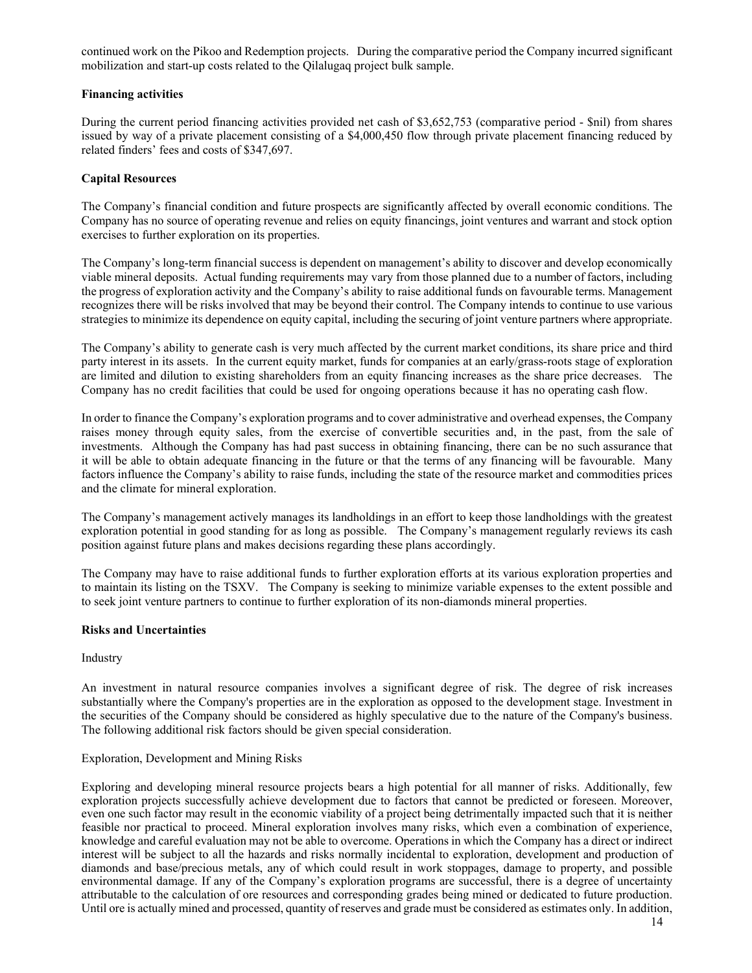continued work on the Pikoo and Redemption projects. During the comparative period the Company incurred significant mobilization and start-up costs related to the Qilalugaq project bulk sample.

## **Financing activities**

During the current period financing activities provided net cash of \$3,652,753 (comparative period - \$nil) from shares issued by way of a private placement consisting of a \$4,000,450 flow through private placement financing reduced by related finders' fees and costs of \$347,697.

# **Capital Resources**

The Company's financial condition and future prospects are significantly affected by overall economic conditions. The Company has no source of operating revenue and relies on equity financings, joint ventures and warrant and stock option exercises to further exploration on its properties.

The Company's long-term financial success is dependent on management's ability to discover and develop economically viable mineral deposits. Actual funding requirements may vary from those planned due to a number of factors, including the progress of exploration activity and the Company's ability to raise additional funds on favourable terms. Management recognizes there will be risks involved that may be beyond their control. The Company intends to continue to use various strategies to minimize its dependence on equity capital, including the securing of joint venture partners where appropriate.

The Company's ability to generate cash is very much affected by the current market conditions, its share price and third party interest in its assets. In the current equity market, funds for companies at an early/grass-roots stage of exploration are limited and dilution to existing shareholders from an equity financing increases as the share price decreases. The Company has no credit facilities that could be used for ongoing operations because it has no operating cash flow.

In order to finance the Company's exploration programs and to cover administrative and overhead expenses, the Company raises money through equity sales, from the exercise of convertible securities and, in the past, from the sale of investments. Although the Company has had past success in obtaining financing, there can be no such assurance that it will be able to obtain adequate financing in the future or that the terms of any financing will be favourable. Many factors influence the Company's ability to raise funds, including the state of the resource market and commodities prices and the climate for mineral exploration.

The Company's management actively manages its landholdings in an effort to keep those landholdings with the greatest exploration potential in good standing for as long as possible. The Company's management regularly reviews its cash position against future plans and makes decisions regarding these plans accordingly.

The Company may have to raise additional funds to further exploration efforts at its various exploration properties and to maintain its listing on the TSXV. The Company is seeking to minimize variable expenses to the extent possible and to seek joint venture partners to continue to further exploration of its non-diamonds mineral properties.

## **Risks and Uncertainties**

Industry

An investment in natural resource companies involves a significant degree of risk. The degree of risk increases substantially where the Company's properties are in the exploration as opposed to the development stage. Investment in the securities of the Company should be considered as highly speculative due to the nature of the Company's business. The following additional risk factors should be given special consideration.

## Exploration, Development and Mining Risks

Exploring and developing mineral resource projects bears a high potential for all manner of risks. Additionally, few exploration projects successfully achieve development due to factors that cannot be predicted or foreseen. Moreover, even one such factor may result in the economic viability of a project being detrimentally impacted such that it is neither feasible nor practical to proceed. Mineral exploration involves many risks, which even a combination of experience, knowledge and careful evaluation may not be able to overcome. Operations in which the Company has a direct or indirect interest will be subject to all the hazards and risks normally incidental to exploration, development and production of diamonds and base/precious metals, any of which could result in work stoppages, damage to property, and possible environmental damage. If any of the Company's exploration programs are successful, there is a degree of uncertainty attributable to the calculation of ore resources and corresponding grades being mined or dedicated to future production. Until ore is actually mined and processed, quantity of reserves and grade must be considered as estimates only. In addition,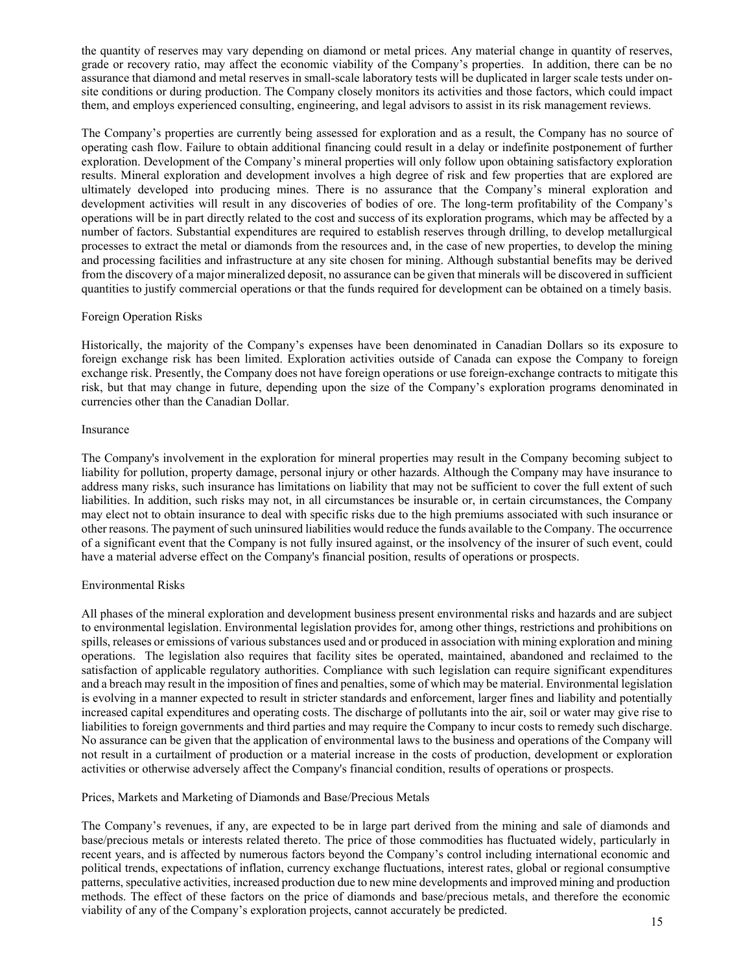the quantity of reserves may vary depending on diamond or metal prices. Any material change in quantity of reserves, grade or recovery ratio, may affect the economic viability of the Company's properties. In addition, there can be no assurance that diamond and metal reserves in small-scale laboratory tests will be duplicated in larger scale tests under onsite conditions or during production. The Company closely monitors its activities and those factors, which could impact them, and employs experienced consulting, engineering, and legal advisors to assist in its risk management reviews.

The Company's properties are currently being assessed for exploration and as a result, the Company has no source of operating cash flow. Failure to obtain additional financing could result in a delay or indefinite postponement of further exploration. Development of the Company's mineral properties will only follow upon obtaining satisfactory exploration results. Mineral exploration and development involves a high degree of risk and few properties that are explored are ultimately developed into producing mines. There is no assurance that the Company's mineral exploration and development activities will result in any discoveries of bodies of ore. The long-term profitability of the Company's operations will be in part directly related to the cost and success of its exploration programs, which may be affected by a number of factors. Substantial expenditures are required to establish reserves through drilling, to develop metallurgical processes to extract the metal or diamonds from the resources and, in the case of new properties, to develop the mining and processing facilities and infrastructure at any site chosen for mining. Although substantial benefits may be derived from the discovery of a major mineralized deposit, no assurance can be given that minerals will be discovered in sufficient quantities to justify commercial operations or that the funds required for development can be obtained on a timely basis.

#### Foreign Operation Risks

Historically, the majority of the Company's expenses have been denominated in Canadian Dollars so its exposure to foreign exchange risk has been limited. Exploration activities outside of Canada can expose the Company to foreign exchange risk. Presently, the Company does not have foreign operations or use foreign-exchange contracts to mitigate this risk, but that may change in future, depending upon the size of the Company's exploration programs denominated in currencies other than the Canadian Dollar.

#### Insurance

The Company's involvement in the exploration for mineral properties may result in the Company becoming subject to liability for pollution, property damage, personal injury or other hazards. Although the Company may have insurance to address many risks, such insurance has limitations on liability that may not be sufficient to cover the full extent of such liabilities. In addition, such risks may not, in all circumstances be insurable or, in certain circumstances, the Company may elect not to obtain insurance to deal with specific risks due to the high premiums associated with such insurance or other reasons. The payment of such uninsured liabilities would reduce the funds available to the Company. The occurrence of a significant event that the Company is not fully insured against, or the insolvency of the insurer of such event, could have a material adverse effect on the Company's financial position, results of operations or prospects.

## Environmental Risks

All phases of the mineral exploration and development business present environmental risks and hazards and are subject to environmental legislation. Environmental legislation provides for, among other things, restrictions and prohibitions on spills, releases or emissions of various substances used and or produced in association with mining exploration and mining operations. The legislation also requires that facility sites be operated, maintained, abandoned and reclaimed to the satisfaction of applicable regulatory authorities. Compliance with such legislation can require significant expenditures and a breach may result in the imposition of fines and penalties, some of which may be material. Environmental legislation is evolving in a manner expected to result in stricter standards and enforcement, larger fines and liability and potentially increased capital expenditures and operating costs. The discharge of pollutants into the air, soil or water may give rise to liabilities to foreign governments and third parties and may require the Company to incur costs to remedy such discharge. No assurance can be given that the application of environmental laws to the business and operations of the Company will not result in a curtailment of production or a material increase in the costs of production, development or exploration activities or otherwise adversely affect the Company's financial condition, results of operations or prospects.

## Prices, Markets and Marketing of Diamonds and Base/Precious Metals

The Company's revenues, if any, are expected to be in large part derived from the mining and sale of diamonds and base/precious metals or interests related thereto. The price of those commodities has fluctuated widely, particularly in recent years, and is affected by numerous factors beyond the Company's control including international economic and political trends, expectations of inflation, currency exchange fluctuations, interest rates, global or regional consumptive patterns, speculative activities, increased production due to new mine developments and improved mining and production methods. The effect of these factors on the price of diamonds and base/precious metals, and therefore the economic viability of any of the Company's exploration projects, cannot accurately be predicted.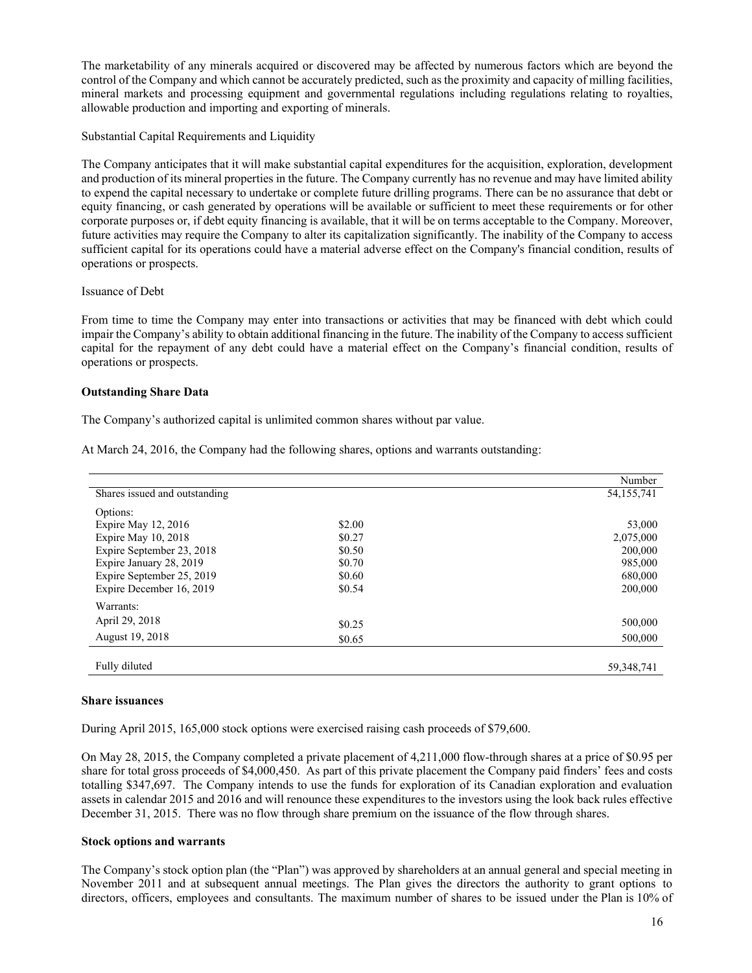The marketability of any minerals acquired or discovered may be affected by numerous factors which are beyond the control of the Company and which cannot be accurately predicted, such as the proximity and capacity of milling facilities, mineral markets and processing equipment and governmental regulations including regulations relating to royalties, allowable production and importing and exporting of minerals.

Substantial Capital Requirements and Liquidity

The Company anticipates that it will make substantial capital expenditures for the acquisition, exploration, development and production of its mineral properties in the future. The Company currently has no revenue and may have limited ability to expend the capital necessary to undertake or complete future drilling programs. There can be no assurance that debt or equity financing, or cash generated by operations will be available or sufficient to meet these requirements or for other corporate purposes or, if debt equity financing is available, that it will be on terms acceptable to the Company. Moreover, future activities may require the Company to alter its capitalization significantly. The inability of the Company to access sufficient capital for its operations could have a material adverse effect on the Company's financial condition, results of operations or prospects.

#### Issuance of Debt

From time to time the Company may enter into transactions or activities that may be financed with debt which could impair the Company's ability to obtain additional financing in the future. The inability of the Company to access sufficient capital for the repayment of any debt could have a material effect on the Company's financial condition, results of operations or prospects.

#### **Outstanding Share Data**

The Company's authorized capital is unlimited common shares without par value.

|                               |        | Number       |
|-------------------------------|--------|--------------|
| Shares issued and outstanding |        | 54, 155, 741 |
| Options:                      |        |              |
| Expire May 12, 2016           | \$2.00 | 53,000       |
| Expire May 10, 2018           | \$0.27 | 2,075,000    |
| Expire September 23, 2018     | \$0.50 | 200,000      |
| Expire January 28, 2019       | \$0.70 | 985,000      |
| Expire September 25, 2019     | \$0.60 | 680,000      |
| Expire December 16, 2019      | \$0.54 | 200,000      |
| Warrants:                     |        |              |
| April 29, 2018                | \$0.25 | 500,000      |
| August 19, 2018               | \$0.65 | 500,000      |
| Fully diluted                 |        | 59, 348, 741 |

At March 24, 2016, the Company had the following shares, options and warrants outstanding:

#### **Share issuances**

During April 2015, 165,000 stock options were exercised raising cash proceeds of \$79,600.

On May 28, 2015, the Company completed a private placement of 4,211,000 flow-through shares at a price of \$0.95 per share for total gross proceeds of \$4,000,450. As part of this private placement the Company paid finders' fees and costs totalling \$347,697. The Company intends to use the funds for exploration of its Canadian exploration and evaluation assets in calendar 2015 and 2016 and will renounce these expenditures to the investors using the look back rules effective December 31, 2015. There was no flow through share premium on the issuance of the flow through shares.

#### **Stock options and warrants**

The Company's stock option plan (the "Plan") was approved by shareholders at an annual general and special meeting in November 2011 and at subsequent annual meetings. The Plan gives the directors the authority to grant options to directors, officers, employees and consultants. The maximum number of shares to be issued under the Plan is 10% of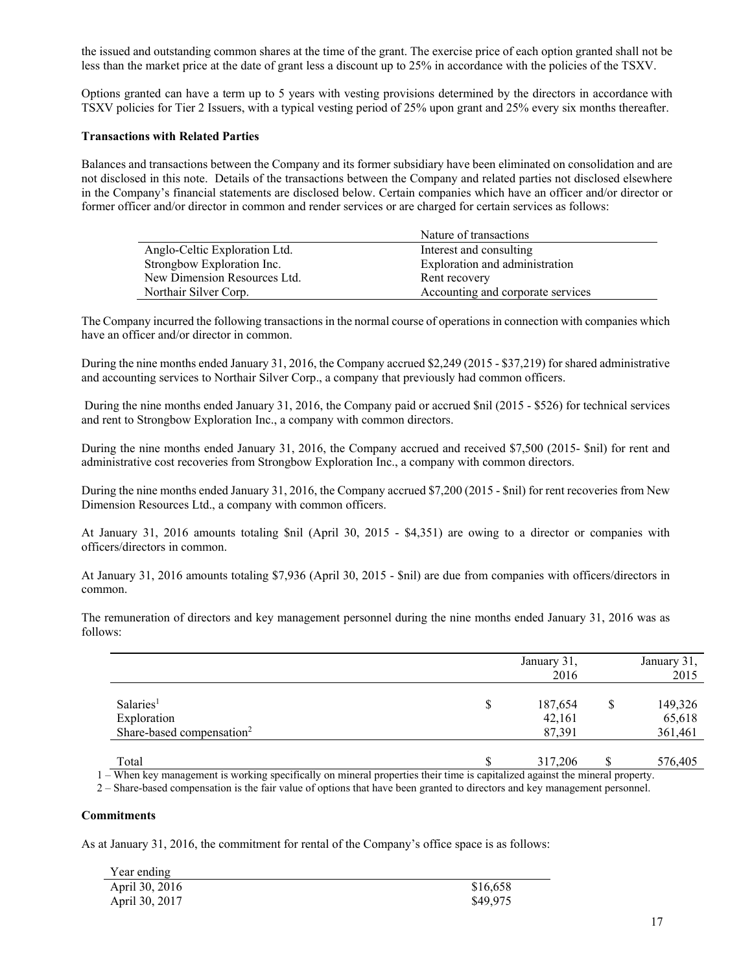the issued and outstanding common shares at the time of the grant. The exercise price of each option granted shall not be less than the market price at the date of grant less a discount up to 25% in accordance with the policies of the TSXV.

Options granted can have a term up to 5 years with vesting provisions determined by the directors in accordance with TSXV policies for Tier 2 Issuers, with a typical vesting period of 25% upon grant and 25% every six months thereafter.

#### **Transactions with Related Parties**

Balances and transactions between the Company and its former subsidiary have been eliminated on consolidation and are not disclosed in this note. Details of the transactions between the Company and related parties not disclosed elsewhere in the Company's financial statements are disclosed below. Certain companies which have an officer and/or director or former officer and/or director in common and render services or are charged for certain services as follows:

|                               | Nature of transactions            |
|-------------------------------|-----------------------------------|
| Anglo-Celtic Exploration Ltd. | Interest and consulting           |
| Strongbow Exploration Inc.    | Exploration and administration    |
| New Dimension Resources Ltd.  | Rent recovery                     |
| Northair Silver Corp.         | Accounting and corporate services |

The Company incurred the following transactions in the normal course of operations in connection with companies which have an officer and/or director in common.

During the nine months ended January 31, 2016, the Company accrued \$2,249 (2015 - \$37,219) for shared administrative and accounting services to Northair Silver Corp., a company that previously had common officers.

 During the nine months ended January 31, 2016, the Company paid or accrued \$nil (2015 - \$526) for technical services and rent to Strongbow Exploration Inc., a company with common directors.

During the nine months ended January 31, 2016, the Company accrued and received \$7,500 (2015- \$nil) for rent and administrative cost recoveries from Strongbow Exploration Inc., a company with common directors.

During the nine months ended January 31, 2016, the Company accrued \$7,200 (2015 - \$nil) for rent recoveries from New Dimension Resources Ltd., a company with common officers.

At January 31, 2016 amounts totaling \$nil (April 30, 2015 - \$4,351) are owing to a director or companies with officers/directors in common.

At January 31, 2016 amounts totaling \$7,936 (April 30, 2015 - \$nil) are due from companies with officers/directors in common.

The remuneration of directors and key management personnel during the nine months ended January 31, 2016 was as follows:

|                                                                               | January 31,<br>2016               |   | January 31,<br>2015          |
|-------------------------------------------------------------------------------|-----------------------------------|---|------------------------------|
| Salaries <sup>1</sup><br>Exploration<br>Share-based compensation <sup>2</sup> | \$<br>187,654<br>42,161<br>87,391 | S | 149,326<br>65,618<br>361,461 |
| Total                                                                         | 317,206                           |   | 576,405                      |

1 – When key management is working specifically on mineral properties their time is capitalized against the mineral property.

2 – Share-based compensation is the fair value of options that have been granted to directors and key management personnel.

#### **Commitments**

As at January 31, 2016, the commitment for rental of the Company's office space is as follows:

| Year ending    |          |
|----------------|----------|
| April 30, 2016 | \$16,658 |
| April 30, 2017 | \$49,975 |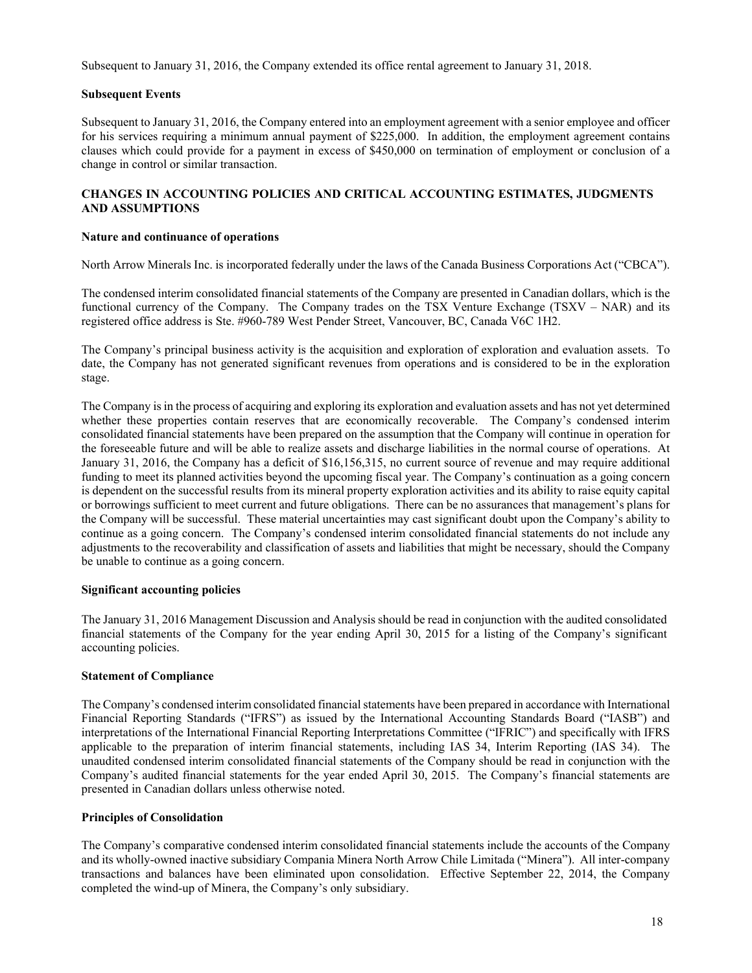Subsequent to January 31, 2016, the Company extended its office rental agreement to January 31, 2018.

## **Subsequent Events**

Subsequent to January 31, 2016, the Company entered into an employment agreement with a senior employee and officer for his services requiring a minimum annual payment of \$225,000. In addition, the employment agreement contains clauses which could provide for a payment in excess of \$450,000 on termination of employment or conclusion of a change in control or similar transaction.

## **CHANGES IN ACCOUNTING POLICIES AND CRITICAL ACCOUNTING ESTIMATES, JUDGMENTS AND ASSUMPTIONS**

## **Nature and continuance of operations**

North Arrow Minerals Inc. is incorporated federally under the laws of the Canada Business Corporations Act ("CBCA").

The condensed interim consolidated financial statements of the Company are presented in Canadian dollars, which is the functional currency of the Company. The Company trades on the TSX Venture Exchange (TSXV – NAR) and its registered office address is Ste. #960-789 West Pender Street, Vancouver, BC, Canada V6C 1H2.

The Company's principal business activity is the acquisition and exploration of exploration and evaluation assets. To date, the Company has not generated significant revenues from operations and is considered to be in the exploration stage.

The Company is in the process of acquiring and exploring its exploration and evaluation assets and has not yet determined whether these properties contain reserves that are economically recoverable. The Company's condensed interim consolidated financial statements have been prepared on the assumption that the Company will continue in operation for the foreseeable future and will be able to realize assets and discharge liabilities in the normal course of operations. At January 31, 2016, the Company has a deficit of \$16,156,315, no current source of revenue and may require additional funding to meet its planned activities beyond the upcoming fiscal year. The Company's continuation as a going concern is dependent on the successful results from its mineral property exploration activities and its ability to raise equity capital or borrowings sufficient to meet current and future obligations. There can be no assurances that management's plans for the Company will be successful. These material uncertainties may cast significant doubt upon the Company's ability to continue as a going concern. The Company's condensed interim consolidated financial statements do not include any adjustments to the recoverability and classification of assets and liabilities that might be necessary, should the Company be unable to continue as a going concern.

## **Significant accounting policies**

The January 31, 2016 Management Discussion and Analysis should be read in conjunction with the audited consolidated financial statements of the Company for the year ending April 30, 2015 for a listing of the Company's significant accounting policies.

## **Statement of Compliance**

The Company's condensed interim consolidated financial statements have been prepared in accordance with International Financial Reporting Standards ("IFRS") as issued by the International Accounting Standards Board ("IASB") and interpretations of the International Financial Reporting Interpretations Committee ("IFRIC") and specifically with IFRS applicable to the preparation of interim financial statements, including IAS 34, Interim Reporting (IAS 34). The unaudited condensed interim consolidated financial statements of the Company should be read in conjunction with the Company's audited financial statements for the year ended April 30, 2015. The Company's financial statements are presented in Canadian dollars unless otherwise noted.

## **Principles of Consolidation**

The Company's comparative condensed interim consolidated financial statements include the accounts of the Company and its wholly-owned inactive subsidiary Compania Minera North Arrow Chile Limitada ("Minera"). All inter-company transactions and balances have been eliminated upon consolidation. Effective September 22, 2014, the Company completed the wind-up of Minera, the Company's only subsidiary.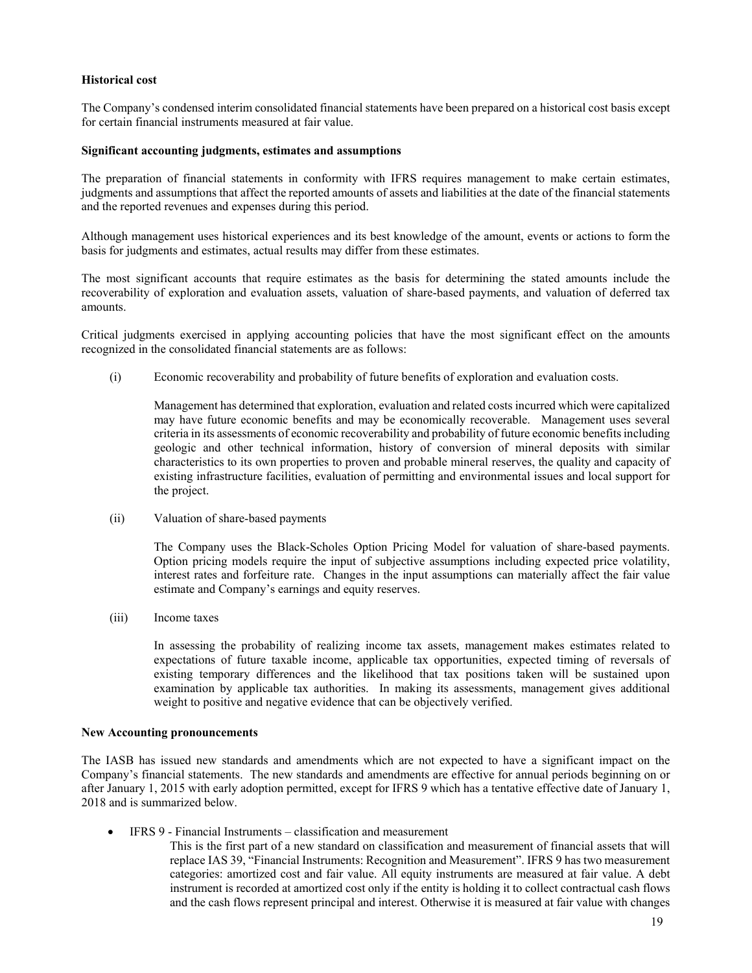#### **Historical cost**

The Company's condensed interim consolidated financial statements have been prepared on a historical cost basis except for certain financial instruments measured at fair value.

#### **Significant accounting judgments, estimates and assumptions**

The preparation of financial statements in conformity with IFRS requires management to make certain estimates, judgments and assumptions that affect the reported amounts of assets and liabilities at the date of the financial statements and the reported revenues and expenses during this period.

Although management uses historical experiences and its best knowledge of the amount, events or actions to form the basis for judgments and estimates, actual results may differ from these estimates.

The most significant accounts that require estimates as the basis for determining the stated amounts include the recoverability of exploration and evaluation assets, valuation of share-based payments, and valuation of deferred tax amounts.

Critical judgments exercised in applying accounting policies that have the most significant effect on the amounts recognized in the consolidated financial statements are as follows:

(i) Economic recoverability and probability of future benefits of exploration and evaluation costs.

Management has determined that exploration, evaluation and related costs incurred which were capitalized may have future economic benefits and may be economically recoverable. Management uses several criteria in its assessments of economic recoverability and probability of future economic benefits including geologic and other technical information, history of conversion of mineral deposits with similar characteristics to its own properties to proven and probable mineral reserves, the quality and capacity of existing infrastructure facilities, evaluation of permitting and environmental issues and local support for the project.

(ii) Valuation of share-based payments

The Company uses the Black-Scholes Option Pricing Model for valuation of share-based payments. Option pricing models require the input of subjective assumptions including expected price volatility, interest rates and forfeiture rate. Changes in the input assumptions can materially affect the fair value estimate and Company's earnings and equity reserves.

(iii) Income taxes

In assessing the probability of realizing income tax assets, management makes estimates related to expectations of future taxable income, applicable tax opportunities, expected timing of reversals of existing temporary differences and the likelihood that tax positions taken will be sustained upon examination by applicable tax authorities. In making its assessments, management gives additional weight to positive and negative evidence that can be objectively verified.

#### **New Accounting pronouncements**

The IASB has issued new standards and amendments which are not expected to have a significant impact on the Company's financial statements. The new standards and amendments are effective for annual periods beginning on or after January 1, 2015 with early adoption permitted, except for IFRS 9 which has a tentative effective date of January 1, 2018 and is summarized below.

- IFRS 9 Financial Instruments classification and measurement
	- This is the first part of a new standard on classification and measurement of financial assets that will replace IAS 39, "Financial Instruments: Recognition and Measurement". IFRS 9 has two measurement categories: amortized cost and fair value. All equity instruments are measured at fair value. A debt instrument is recorded at amortized cost only if the entity is holding it to collect contractual cash flows and the cash flows represent principal and interest. Otherwise it is measured at fair value with changes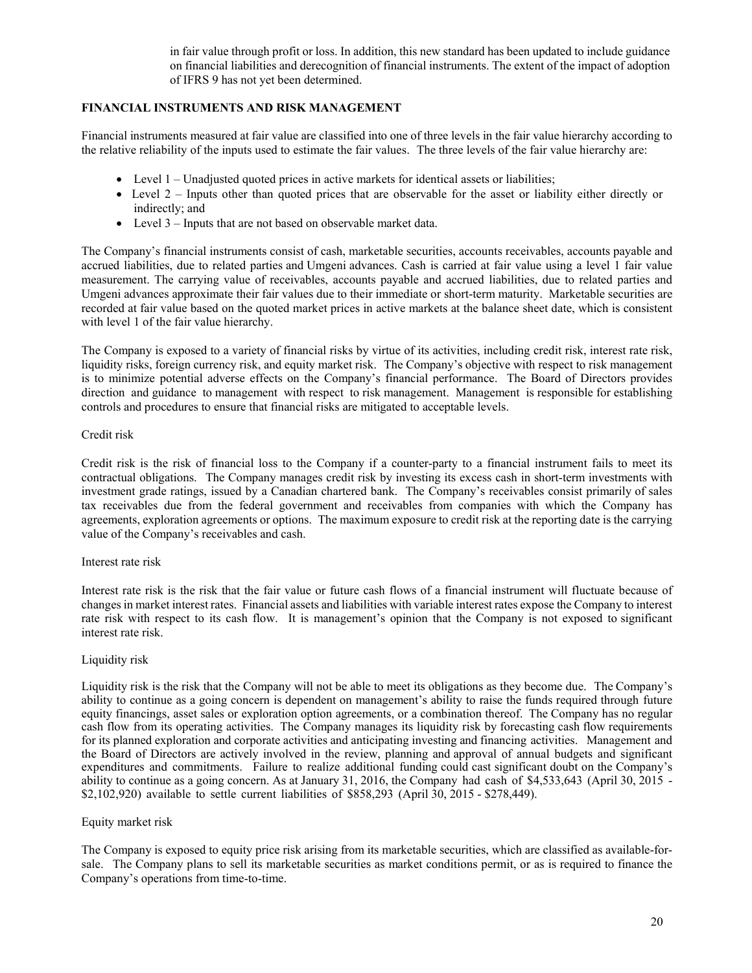in fair value through profit or loss. In addition, this new standard has been updated to include guidance on financial liabilities and derecognition of financial instruments. The extent of the impact of adoption of IFRS 9 has not yet been determined.

# **FINANCIAL INSTRUMENTS AND RISK MANAGEMENT**

Financial instruments measured at fair value are classified into one of three levels in the fair value hierarchy according to the relative reliability of the inputs used to estimate the fair values. The three levels of the fair value hierarchy are:

- Level 1 Unadjusted quoted prices in active markets for identical assets or liabilities;
- Level 2 Inputs other than quoted prices that are observable for the asset or liability either directly or indirectly; and
- Level 3 Inputs that are not based on observable market data.

The Company's financial instruments consist of cash, marketable securities, accounts receivables, accounts payable and accrued liabilities, due to related parties and Umgeni advances. Cash is carried at fair value using a level 1 fair value measurement. The carrying value of receivables, accounts payable and accrued liabilities, due to related parties and Umgeni advances approximate their fair values due to their immediate or short-term maturity. Marketable securities are recorded at fair value based on the quoted market prices in active markets at the balance sheet date, which is consistent with level 1 of the fair value hierarchy.

The Company is exposed to a variety of financial risks by virtue of its activities, including credit risk, interest rate risk, liquidity risks, foreign currency risk, and equity market risk. The Company's objective with respect to risk management is to minimize potential adverse effects on the Company's financial performance. The Board of Directors provides direction and guidance to management with respect to risk management. Management is responsible for establishing controls and procedures to ensure that financial risks are mitigated to acceptable levels.

## Credit risk

Credit risk is the risk of financial loss to the Company if a counter-party to a financial instrument fails to meet its contractual obligations. The Company manages credit risk by investing its excess cash in short-term investments with investment grade ratings, issued by a Canadian chartered bank. The Company's receivables consist primarily of sales tax receivables due from the federal government and receivables from companies with which the Company has agreements, exploration agreements or options. The maximum exposure to credit risk at the reporting date is the carrying value of the Company's receivables and cash.

## Interest rate risk

Interest rate risk is the risk that the fair value or future cash flows of a financial instrument will fluctuate because of changes in market interest rates. Financial assets and liabilities with variable interest rates expose the Company to interest rate risk with respect to its cash flow. It is management's opinion that the Company is not exposed to significant interest rate risk.

## Liquidity risk

Liquidity risk is the risk that the Company will not be able to meet its obligations as they become due. The Company's ability to continue as a going concern is dependent on management's ability to raise the funds required through future equity financings, asset sales or exploration option agreements, or a combination thereof. The Company has no regular cash flow from its operating activities. The Company manages its liquidity risk by forecasting cash flow requirements for its planned exploration and corporate activities and anticipating investing and financing activities. Management and the Board of Directors are actively involved in the review, planning and approval of annual budgets and significant expenditures and commitments. Failure to realize additional funding could cast significant doubt on the Company's ability to continue as a going concern. As at January 31, 2016, the Company had cash of \$4,533,643 (April 30, 2015 - \$2,102,920) available to settle current liabilities of \$858,293 (April 30, 2015 - \$278,449).

## Equity market risk

The Company is exposed to equity price risk arising from its marketable securities, which are classified as available-forsale. The Company plans to sell its marketable securities as market conditions permit, or as is required to finance the Company's operations from time-to-time.